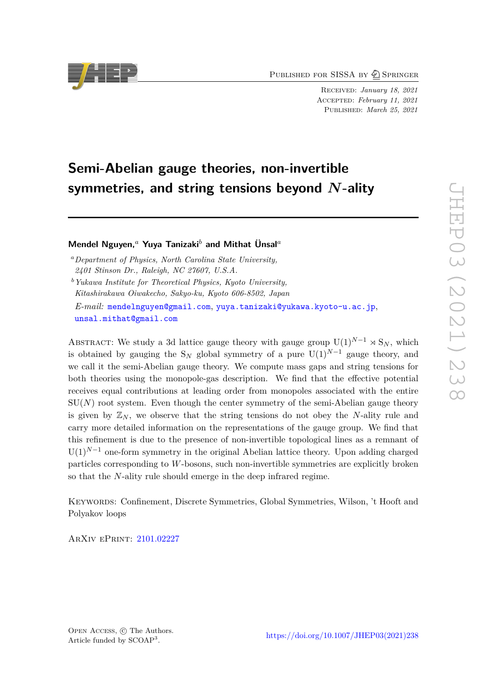PUBLISHED FOR SISSA BY 2 SPRINGER

Received: *January 18, 2021* Accepted: *February 11, 2021* Published: *March 25, 2021*

# **Semi-Abelian gauge theories, non-invertible symmetries, and string tensions beyond** *N***-ality**

# **Mendel Nguyen,***<sup>a</sup>* **Yuya Tanizaki***<sup>b</sup>* **and Mithat Ünsal***<sup>a</sup>*

*<sup>a</sup>Department of Physics, North Carolina State University, 2401 Stinson Dr., Raleigh, NC 27607, U.S.A. <sup>b</sup>Yukawa Institute for Theoretical Physics, Kyoto University,*

*Kitashirakawa Oiwakecho, Sakyo-ku, Kyoto 606-8502, Japan*

*E-mail:* [mendelnguyen@gmail.com](mailto:mendelnguyen@gmail.com), [yuya.tanizaki@yukawa.kyoto-u.ac.jp](mailto:yuya.tanizaki@yukawa.kyoto-u.ac.jp), [unsal.mithat@gmail.com](mailto:unsal.mithat@gmail.com)

ABSTRACT: We study a 3d lattice gauge theory with gauge group  $U(1)^{N-1} \rtimes S_N$ , which is obtained by gauging the  $S_N$  global symmetry of a pure  $U(1)^{N-1}$  gauge theory, and we call it the semi-Abelian gauge theory. We compute mass gaps and string tensions for both theories using the monopole-gas description. We find that the effective potential receives equal contributions at leading order from monopoles associated with the entire  $SU(N)$  root system. Even though the center symmetry of the semi-Abelian gauge theory is given by  $\mathbb{Z}_N$ , we observe that the string tensions do not obey the *N*-ality rule and carry more detailed information on the representations of the gauge group. We find that this refinement is due to the presence of non-invertible topological lines as a remnant of  $U(1)^{N-1}$  one-form symmetry in the original Abelian lattice theory. Upon adding charged particles corresponding to *W*-bosons, such non-invertible symmetries are explicitly broken so that the *N*-ality rule should emerge in the deep infrared regime.

Keywords: Confinement, Discrete Symmetries, Global Symmetries, Wilson, 't Hooft and Polyakov loops

ArXiv ePrint: [2101.02227](https://arxiv.org/abs/2101.02227)

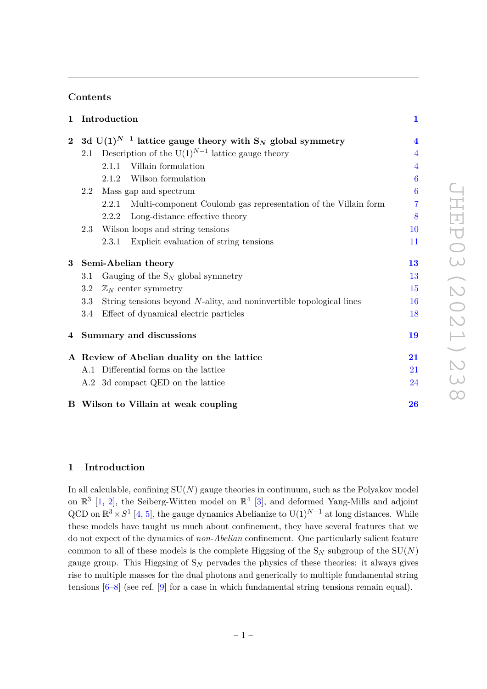# **Contents**

| $\mathbf{1}$   |                                                                                 | Introduction                                                            | $\mathbf{1}$     |
|----------------|---------------------------------------------------------------------------------|-------------------------------------------------------------------------|------------------|
| $\overline{2}$ | 3d U(1) <sup>N-1</sup> lattice gauge theory with S <sub>N</sub> global symmetry |                                                                         |                  |
|                | 2.1                                                                             | Description of the $U(1)^{N-1}$ lattice gauge theory                    | $\overline{4}$   |
|                |                                                                                 | Villain formulation<br>2.1.1                                            | $\overline{4}$   |
|                |                                                                                 | Wilson formulation<br>2.1.2                                             | $\boldsymbol{6}$ |
|                | 2.2                                                                             | Mass gap and spectrum                                                   | $\boldsymbol{6}$ |
|                |                                                                                 | Multi-component Coulomb gas representation of the Villain form<br>2.2.1 | 7                |
|                |                                                                                 | Long-distance effective theory<br>2.2.2                                 | 8                |
|                | 2.3                                                                             | Wilson loops and string tensions                                        | 10               |
|                |                                                                                 | Explicit evaluation of string tensions<br>2.3.1                         | 11               |
| $\bf{3}$       | Semi-Abelian theory                                                             |                                                                         |                  |
|                | 3.1                                                                             | Gauging of the $S_N$ global symmetry                                    | 13               |
|                | 3.2                                                                             | $\mathbb{Z}_N$ center symmetry                                          | 15               |
|                | 3.3                                                                             | String tensions beyond N-ality, and noninvertible topological lines     | 16               |
|                | 3.4                                                                             | Effect of dynamical electric particles                                  | 18               |
|                | 4 Summary and discussions                                                       |                                                                         | 19               |
|                | A Review of Abelian duality on the lattice                                      |                                                                         |                  |
|                |                                                                                 | A.1 Differential forms on the lattice                                   | 21               |
|                |                                                                                 | A.2 3d compact QED on the lattice                                       | 24               |
|                |                                                                                 | B Wilson to Villain at weak coupling                                    | 26               |

# <span id="page-1-0"></span>**1 Introduction**

In all calculable, confining  $SU(N)$  gauge theories in continuum, such as the Polyakov model on  $\mathbb{R}^3$  [\[1,](#page-28-0) [2\]](#page-28-1), the Seiberg-Witten model on  $\mathbb{R}^4$  [\[3\]](#page-28-2), and deformed Yang-Mills and adjoint QCD on  $\mathbb{R}^3 \times S^1$  [\[4,](#page-28-3) [5\]](#page-28-4), the gauge dynamics Abelianize to U(1)<sup>*N*-1</sup> at long distances. While these models have taught us much about confinement, they have several features that we do not expect of the dynamics of *non-Abelian* confinement. One particularly salient feature common to all of these models is the complete Higgsing of the  $S_N$  subgroup of the  $SU(N)$ gauge group. This Higgsing of S*<sup>N</sup>* pervades the physics of these theories: it always gives rise to multiple masses for the dual photons and generically to multiple fundamental string tensions  $[6-8]$  $[6-8]$  (see ref. [\[9\]](#page-29-0) for a case in which fundamental string tensions remain equal).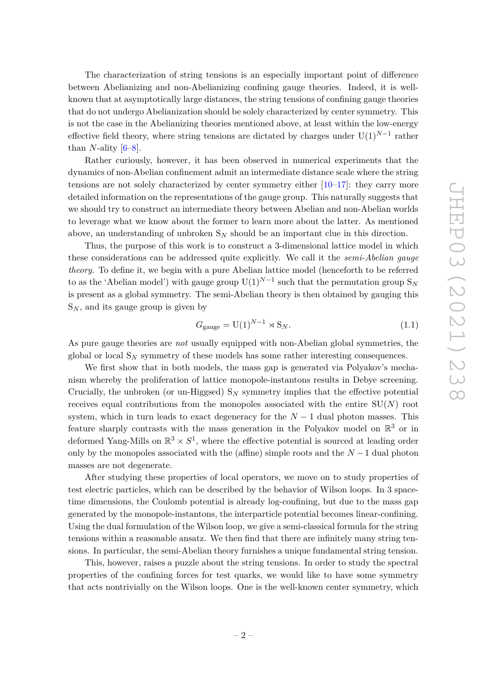The characterization of string tensions is an especially important point of difference between Abelianizing and non-Abelianizing confining gauge theories. Indeed, it is wellknown that at asymptotically large distances, the string tensions of confining gauge theories that do not undergo Abelianization should be solely characterized by center symmetry. This is not the case in the Abelianizing theories mentioned above, at least within the low-energy effective field theory, where string tensions are dictated by charges under U(1)*N*−<sup>1</sup> rather than *N*-ality  $[6-8]$  $[6-8]$ .

Rather curiously, however, it has been observed in numerical experiments that the dynamics of non-Abelian confinement admit an intermediate distance scale where the string tensions are not solely characterized by center symmetry either  $[10-17]$  $[10-17]$ : they carry more detailed information on the representations of the gauge group. This naturally suggests that we should try to construct an intermediate theory between Abelian and non-Abelian worlds to leverage what we know about the former to learn more about the latter. As mentioned above, an understanding of unbroken S*<sup>N</sup>* should be an important clue in this direction.

Thus, the purpose of this work is to construct a 3-dimensional lattice model in which these considerations can be addressed quite explicitly. We call it the *semi-Abelian gauge theory*. To define it, we begin with a pure Abelian lattice model (henceforth to be referred to as the 'Abelian model') with gauge group  $U(1)^{N-1}$  such that the permutation group  $S_N$ is present as a global symmetry. The semi-Abelian theory is then obtained by gauging this  $S_N$ , and its gauge group is given by

$$
G_{\text{gauge}} = \mathbf{U}(1)^{N-1} \rtimes \mathbf{S}_N. \tag{1.1}
$$

As pure gauge theories are *not* usually equipped with non-Abelian global symmetries, the global or local S*<sup>N</sup>* symmetry of these models has some rather interesting consequences.

We first show that in both models, the mass gap is generated via Polyakov's mechanism whereby the proliferation of lattice monopole-instantons results in Debye screening. Crucially, the unbroken (or un-Higgsed)  $S_N$  symmetry implies that the effective potential receives equal contributions from the monopoles associated with the entire  $SU(N)$  root system, which in turn leads to exact degeneracy for the  $N-1$  dual photon masses. This feature sharply contrasts with the mass generation in the Polyakov model on  $\mathbb{R}^3$  or in deformed Yang-Mills on  $\mathbb{R}^3 \times S^1$ , where the effective potential is sourced at leading order only by the monopoles associated with the (affine) simple roots and the  $N-1$  dual photon masses are not degenerate.

After studying these properties of local operators, we move on to study properties of test electric particles, which can be described by the behavior of Wilson loops. In 3 spacetime dimensions, the Coulomb potential is already log-confining, but due to the mass gap generated by the monopole-instantons, the interparticle potential becomes linear-confining. Using the dual formulation of the Wilson loop, we give a semi-classical formula for the string tensions within a reasonable ansatz. We then find that there are infinitely many string tensions. In particular, the semi-Abelian theory furnishes a unique fundamental string tension.

This, however, raises a puzzle about the string tensions. In order to study the spectral properties of the confining forces for test quarks, we would like to have some symmetry that acts nontrivially on the Wilson loops. One is the well-known center symmetry, which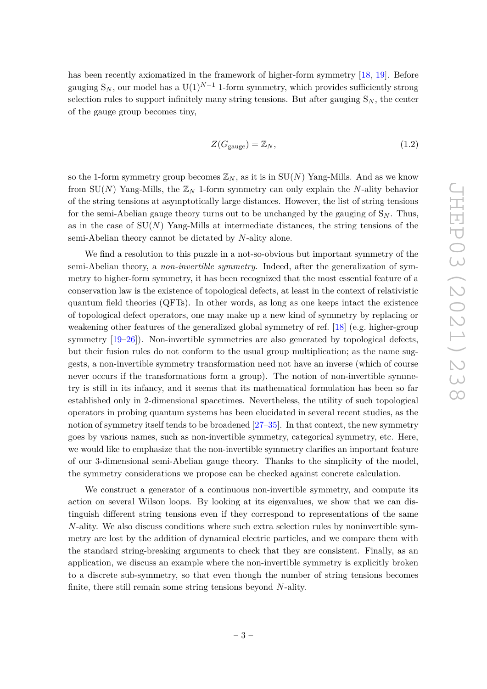has been recently axiomatized in the framework of higher-form symmetry [\[18,](#page-29-3) [19\]](#page-29-4). Before gauging  $S_N$ , our model has a  $U(1)^{N-1}$  1-form symmetry, which provides sufficiently strong selection rules to support infinitely many string tensions. But after gauging  $S_N$ , the center of the gauge group becomes tiny,

$$
Z(G_{\text{gauge}}) = \mathbb{Z}_N,\tag{1.2}
$$

so the 1-form symmetry group becomes  $\mathbb{Z}_N$ , as it is in  $SU(N)$  Yang-Mills. And as we know from  $SU(N)$  Yang-Mills, the  $\mathbb{Z}_N$  1-form symmetry can only explain the *N*-ality behavior of the string tensions at asymptotically large distances. However, the list of string tensions for the semi-Abelian gauge theory turns out to be unchanged by the gauging of  $S_N$ . Thus, as in the case of SU(*N*) Yang-Mills at intermediate distances, the string tensions of the semi-Abelian theory cannot be dictated by *N*-ality alone.

We find a resolution to this puzzle in a not-so-obvious but important symmetry of the semi-Abelian theory, a *non-invertible symmetry*. Indeed, after the generalization of symmetry to higher-form symmetry, it has been recognized that the most essential feature of a conservation law is the existence of topological defects, at least in the context of relativistic quantum field theories (QFTs). In other words, as long as one keeps intact the existence of topological defect operators, one may make up a new kind of symmetry by replacing or weakening other features of the generalized global symmetry of ref. [\[18\]](#page-29-3) (e.g. higher-group symmetry [\[19](#page-29-4)[–26\]](#page-29-5)). Non-invertible symmetries are also generated by topological defects, but their fusion rules do not conform to the usual group multiplication; as the name suggests, a non-invertible symmetry transformation need not have an inverse (which of course never occurs if the transformations form a group). The notion of non-invertible symmetry is still in its infancy, and it seems that its mathematical formulation has been so far established only in 2-dimensional spacetimes. Nevertheless, the utility of such topological operators in probing quantum systems has been elucidated in several recent studies, as the notion of symmetry itself tends to be broadened  $[27-35]$  $[27-35]$ . In that context, the new symmetry goes by various names, such as non-invertible symmetry, categorical symmetry, etc. Here, we would like to emphasize that the non-invertible symmetry clarifies an important feature of our 3-dimensional semi-Abelian gauge theory. Thanks to the simplicity of the model, the symmetry considerations we propose can be checked against concrete calculation.

We construct a generator of a continuous non-invertible symmetry, and compute its action on several Wilson loops. By looking at its eigenvalues, we show that we can distinguish different string tensions even if they correspond to representations of the same *N*-ality. We also discuss conditions where such extra selection rules by noninvertible symmetry are lost by the addition of dynamical electric particles, and we compare them with the standard string-breaking arguments to check that they are consistent. Finally, as an application, we discuss an example where the non-invertible symmetry is explicitly broken to a discrete sub-symmetry, so that even though the number of string tensions becomes finite, there still remain some string tensions beyond *N*-ality.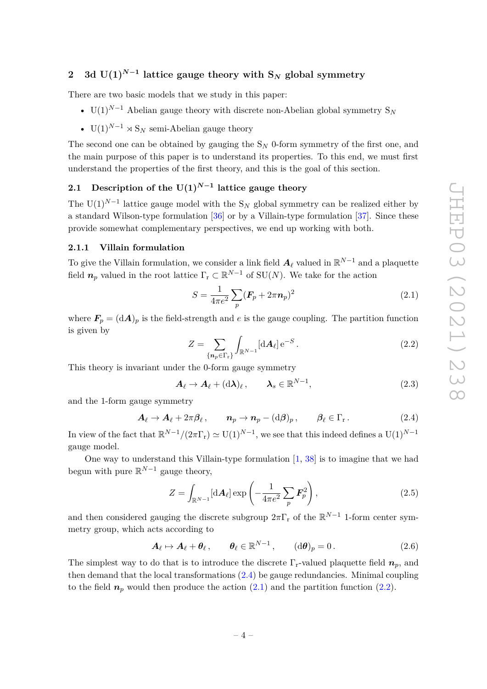# <span id="page-4-0"></span>**2** 3d  $U(1)^{N-1}$  lattice gauge theory with  $S_N$  global symmetry

There are two basic models that we study in this paper:

- U(1)<sup>*N*−1</sup> Abelian gauge theory with discrete non-Abelian global symmetry  $S_N$
- $U(1)^{N-1} \rtimes S_N$  semi-Abelian gauge theory

The second one can be obtained by gauging the  $S_N$  0-form symmetry of the first one, and the main purpose of this paper is to understand its properties. To this end, we must first understand the properties of the first theory, and this is the goal of this section.

# <span id="page-4-1"></span>**2.1 Description of the U(1)***N***−<sup>1</sup> lattice gauge theory**

The U(1)<sup>*N*−1</sup> lattice gauge model with the S<sub>*N*</sub> global symmetry can be realized either by a standard Wilson-type formulation [\[36\]](#page-30-1) or by a Villain-type formulation [\[37\]](#page-30-2). Since these provide somewhat complementary perspectives, we end up working with both.

## <span id="page-4-2"></span>**2.1.1 Villain formulation**

To give the Villain formulation, we consider a link field  $\boldsymbol{A}_\ell$  valued in  $\mathbb{R}^{N-1}$  and a plaquette field  $n_p$  valued in the root lattice  $\Gamma_r \subset \mathbb{R}^{N-1}$  of  $SU(N)$ . We take for the action

<span id="page-4-4"></span>
$$
S = \frac{1}{4\pi e^2} \sum_{p} (\mathbf{F}_p + 2\pi \mathbf{n}_p)^2
$$
 (2.1)

where  $\mathbf{F}_p = (\mathrm{d}\mathbf{A})_p$  is the field-strength and *e* is the gauge coupling. The partition function is given by

<span id="page-4-5"></span>
$$
Z = \sum_{\{\mathbf{n}_p \in \Gamma_{\mathbf{r}}\}} \int_{\mathbb{R}^{N-1}} [\mathrm{d} \mathbf{A}_{\ell}] \, \mathrm{e}^{-S} \,. \tag{2.2}
$$

This theory is invariant under the 0-form gauge symmetry

$$
\mathbf{A}_{\ell} \to \mathbf{A}_{\ell} + (\mathrm{d}\lambda)_{\ell} , \qquad \lambda_s \in \mathbb{R}^{N-1}, \tag{2.3}
$$

and the 1-form gauge symmetry

<span id="page-4-3"></span>
$$
\mathbf{A}_{\ell} \to \mathbf{A}_{\ell} + 2\pi \beta_{\ell} , \qquad \mathbf{n}_p \to \mathbf{n}_p - (\mathrm{d}\beta)_p , \qquad \beta_{\ell} \in \Gamma_r . \tag{2.4}
$$

In view of the fact that  $\mathbb{R}^{N-1}/(2\pi\Gamma_r) \simeq U(1)^{N-1}$ , we see that this indeed defines a  $U(1)^{N-1}$ gauge model.

One way to understand this Villain-type formulation [\[1,](#page-28-0) [38\]](#page-30-3) is to imagine that we had begun with pure R *<sup>N</sup>*−<sup>1</sup> gauge theory,

$$
Z = \int_{\mathbb{R}^{N-1}} [\mathrm{d} \mathbf{A}_{\ell}] \exp\left(-\frac{1}{4\pi e^2} \sum_{p} \mathbf{F}_{p}^2\right),\tag{2.5}
$$

and then considered gauging the discrete subgroup  $2\pi\Gamma_r$  of the  $\mathbb{R}^{N-1}$  1-form center symmetry group, which acts according to

<span id="page-4-6"></span>
$$
\mathbf{A}_{\ell} \mapsto \mathbf{A}_{\ell} + \mathbf{\theta}_{\ell}, \qquad \mathbf{\theta}_{\ell} \in \mathbb{R}^{N-1}, \qquad (\mathrm{d}\mathbf{\theta})_p = 0. \tag{2.6}
$$

The simplest way to do that is to introduce the discrete  $\Gamma_r$ -valued plaquette field  $n_p$ , and then demand that the local transformations  $(2.4)$  be gauge redundancies. Minimal coupling to the field  $n_p$  would then produce the action  $(2.1)$  and the partition function  $(2.2)$ .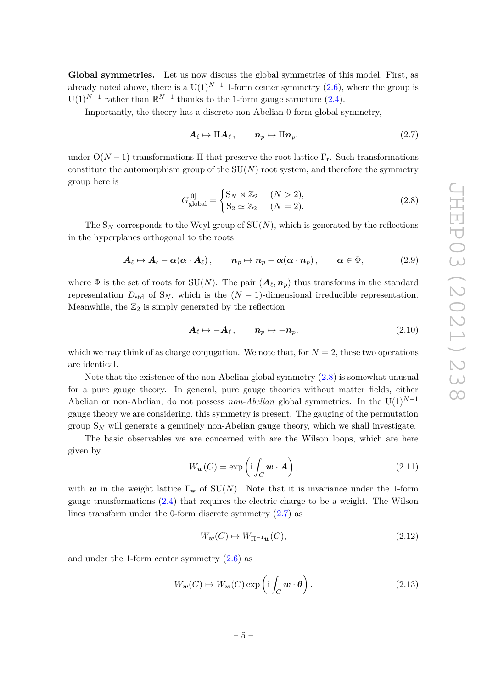**Global symmetries.** Let us now discuss the global symmetries of this model. First, as already noted above, there is a  $U(1)^{N-1}$  1-form center symmetry [\(2.6\)](#page-4-6), where the group is  $U(1)^{N-1}$  rather than  $\mathbb{R}^{N-1}$  thanks to the 1-form gauge structure [\(2.4\)](#page-4-3).

Importantly, the theory has a discrete non-Abelian 0-form global symmetry,

<span id="page-5-1"></span>
$$
\boldsymbol{A}_{\ell} \mapsto \Pi \boldsymbol{A}_{\ell} \,, \qquad \boldsymbol{n}_p \mapsto \Pi \boldsymbol{n}_p, \tag{2.7}
$$

under  $O(N-1)$  transformations  $\Pi$  that preserve the root lattice  $\Gamma_r$ . Such transformations constitute the automorphism group of the  $SU(N)$  root system, and therefore the symmetry group here is

<span id="page-5-0"></span>
$$
G_{\text{global}}^{[0]} = \begin{cases} \mathcal{S}_N \rtimes \mathbb{Z}_2 & (N > 2), \\ \mathcal{S}_2 \simeq \mathbb{Z}_2 & (N = 2). \end{cases}
$$
 (2.8)

The  $S_N$  corresponds to the Weyl group of  $SU(N)$ , which is generated by the reflections in the hyperplanes orthogonal to the roots

$$
\mathbf{A}_{\ell} \mapsto \mathbf{A}_{\ell} - \alpha (\alpha \cdot \mathbf{A}_{\ell}), \qquad \mathbf{n}_{p} \mapsto \mathbf{n}_{p} - \alpha (\alpha \cdot \mathbf{n}_{p}), \qquad \alpha \in \Phi, \tag{2.9}
$$

where  $\Phi$  is the set of roots for SU(*N*). The pair  $(A_{\ell}, n_p)$  thus transforms in the standard representation  $D_{std}$  of  $S_N$ , which is the  $(N-1)$ -dimensional irreducible representation. Meanwhile, the  $\mathbb{Z}_2$  is simply generated by the reflection

$$
\mathbf{A}_{\ell} \mapsto -\mathbf{A}_{\ell} \,, \qquad \mathbf{n}_p \mapsto -\mathbf{n}_p, \tag{2.10}
$$

which we may think of as charge conjugation. We note that, for  $N = 2$ , these two operations are identical.

Note that the existence of the non-Abelian global symmetry [\(2.8\)](#page-5-0) is somewhat unusual for a pure gauge theory. In general, pure gauge theories without matter fields, either Abelian or non-Abelian, do not possess *non-Abelian* global symmetries. In the U(1)*N*−<sup>1</sup> gauge theory we are considering, this symmetry is present. The gauging of the permutation group  $S_N$  will generate a genuinely non-Abelian gauge theory, which we shall investigate.

The basic observables we are concerned with are the Wilson loops, which are here given by

$$
W_{\mathbf{w}}(C) = \exp\left(\mathbf{i} \int_C \mathbf{w} \cdot \mathbf{A}\right),\tag{2.11}
$$

with *w* in the weight lattice  $\Gamma_w$  of SU(*N*). Note that it is invariance under the 1-form gauge transformations [\(2.4\)](#page-4-3) that requires the electric charge to be a weight. The Wilson lines transform under the 0-form discrete symmetry [\(2.7\)](#page-5-1) as

$$
W_w(C) \mapsto W_{\Pi^{-1}w}(C),\tag{2.12}
$$

and under the 1-form center symmetry  $(2.6)$  as

$$
W_{\mathbf{w}}(C) \mapsto W_{\mathbf{w}}(C) \exp\left(i \int_C \mathbf{w} \cdot \boldsymbol{\theta}\right).
$$
 (2.13)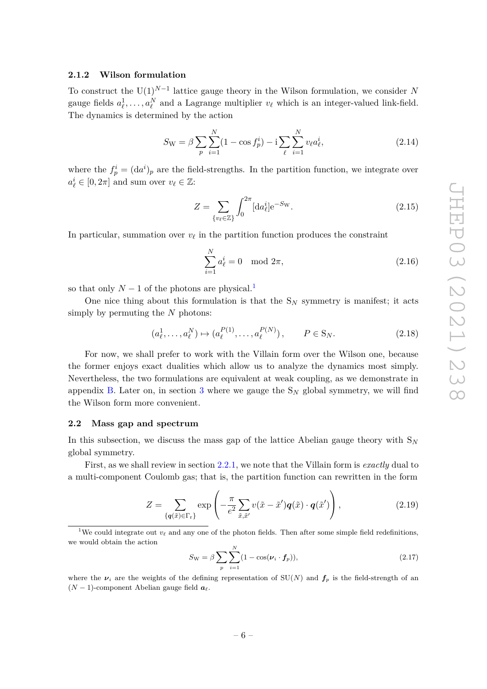## <span id="page-6-0"></span>**2.1.2 Wilson formulation**

To construct the U(1)*N*−<sup>1</sup> lattice gauge theory in the Wilson formulation, we consider *N* gauge fields  $a_\ell^1, \ldots, a_\ell^N$  and a Lagrange multiplier  $v_\ell$  which is an integer-valued link-field. The dynamics is determined by the action

<span id="page-6-4"></span>
$$
S_{\rm W} = \beta \sum_{p} \sum_{i=1}^{N} (1 - \cos f_p^i) - i \sum_{\ell} \sum_{i=1}^{N} v_{\ell} a_{\ell}^i,
$$
 (2.14)

where the  $f_p^i = (da^i)_p$  are the field-strengths. In the partition function, we integrate over  $a_\ell^i \in [0, 2\pi]$  and sum over  $v_\ell \in \mathbb{Z}$ :

$$
Z = \sum_{\{v_{\ell} \in \mathbb{Z}\}} \int_0^{2\pi} [\mathrm{d}a_{\ell}^i] e^{-S_{\rm W}}.
$$
 (2.15)

In particular, summation over  $v_\ell$  in the partition function produces the constraint

$$
\sum_{i=1}^{N} a_{\ell}^{i} = 0 \mod 2\pi,
$$
\n(2.16)

so that only  $N-1$  $N-1$  of the photons are physical.<sup>1</sup>

One nice thing about this formulation is that the  $S_N$  symmetry is manifest; it acts simply by permuting the *N* photons:

$$
(a_{\ell}^1, \dots, a_{\ell}^N) \mapsto (a_{\ell}^{P(1)}, \dots, a_{\ell}^{P(N)}), \qquad P \in S_N.
$$
 (2.18)

For now, we shall prefer to work with the Villain form over the Wilson one, because the former enjoys exact dualities which allow us to analyze the dynamics most simply. Nevertheless, the two formulations are equivalent at weak coupling, as we demonstrate in appendix [B.](#page-26-0) Later on, in section [3](#page-13-0) where we gauge the  $S_N$  global symmetry, we will find the Wilson form more convenient.

#### <span id="page-6-1"></span>**2.2 Mass gap and spectrum**

In this subsection, we discuss the mass gap of the lattice Abelian gauge theory with S*<sup>N</sup>* global symmetry.

First, as we shall review in section [2.2.1,](#page-7-0) we note that the Villain form is *exactly* dual to a multi-component Coulomb gas; that is, the partition function can rewritten in the form

<span id="page-6-3"></span>
$$
Z = \sum_{\{q(\tilde{x}) \in \Gamma_{\rm r}\}} \exp\left(-\frac{\pi}{e^2} \sum_{\tilde{x}, \tilde{x}'} v(\tilde{x} - \tilde{x}') q(\tilde{x}) \cdot q(\tilde{x}')\right),\tag{2.19}
$$

<span id="page-6-2"></span><sup>1</sup>We could integrate out  $v_\ell$  and any one of the photon fields. Then after some simple field redefinitions, we would obtain the action

$$
S_{\rm W} = \beta \sum_{p} \sum_{i=1}^{N} (1 - \cos(\nu_i \cdot f_p)), \qquad (2.17)
$$

where the  $\nu_i$  are the weights of the defining representation of  $SU(N)$  and  $f_p$  is the field-strength of an  $(N-1)$ -component Abelian gauge field  $a_{\ell}$ .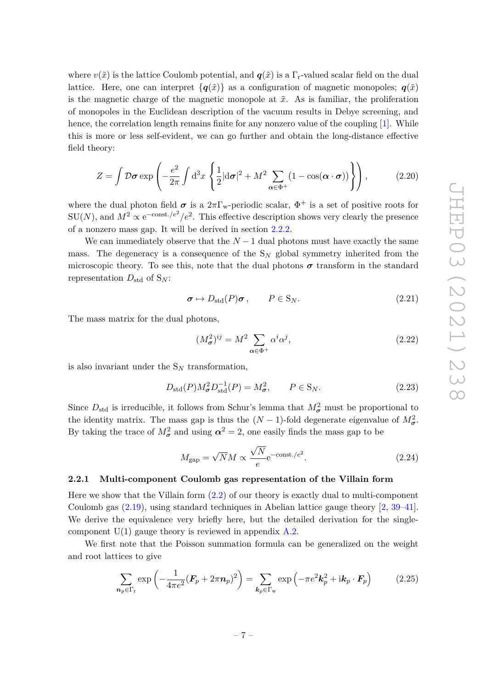where  $v(\tilde{x})$  is the lattice Coulomb potential, and  $q(\tilde{x})$  is a  $\Gamma_r$ -valued scalar field on the dual lattice. Here, one can interpret  $\{q(\tilde{x})\}$  as a configuration of magnetic monopoles;  $q(\tilde{x})$ is the magnetic charge of the magnetic monopole at  $\tilde{x}$ . As is familiar, the proliferation of monopoles in the Euclidean description of the vacuum results in Debye screening, and hence, the correlation length remains finite for any nonzero value of the coupling [\[1\]](#page-28-0). While this is more or less self-evident, we can go further and obtain the long-distance effective field theory:

<span id="page-7-1"></span>
$$
Z = \int \mathcal{D}\boldsymbol{\sigma} \exp\left(-\frac{e^2}{2\pi} \int d^3x \left\{\frac{1}{2} |d\boldsymbol{\sigma}|^2 + M^2 \sum_{\alpha \in \Phi^+} (1 - \cos(\alpha \cdot \boldsymbol{\sigma}))\right\}\right),\tag{2.20}
$$

where the dual photon field  $\sigma$  is a  $2\pi\Gamma_{w}$ -periodic scalar,  $\Phi^{+}$  is a set of positive roots for  $SU(N)$ , and  $M^2 \propto e^{-\text{const.}/e^2}/e^2$ . This effective description shows very clearly the presence of a nonzero mass gap. It will be derived in section [2.2.2.](#page-8-0)

We can immediately observe that the  $N-1$  dual photons must have exactly the same mass. The degeneracy is a consequence of the S*<sup>N</sup>* global symmetry inherited from the microscopic theory. To see this, note that the dual photons  $\sigma$  transform in the standard representation  $D_{\text{std}}$  of  $S_N$ :

$$
\sigma \mapsto D_{\text{std}}(P)\sigma, \qquad P \in S_N. \tag{2.21}
$$

The mass matrix for the dual photons,

$$
(M_{\sigma}^2)^{ij} = M^2 \sum_{\alpha \in \Phi^+} \alpha^i \alpha^j,\tag{2.22}
$$

is also invariant under the  $S_N$  transformation,

$$
D_{\text{std}}(P)M_{\sigma}^2 D_{\text{std}}^{-1}(P) = M_{\sigma}^2, \qquad P \in S_N. \tag{2.23}
$$

Since  $D_{\text{std}}$  is irreducible, it follows from Schur's lemma that  $M_{\sigma}^2$  must be proportional to the identity matrix. The mass gap is thus the  $(N-1)$ -fold degenerate eigenvalue of  $M^2_{\sigma}$ . By taking the trace of  $M_{\sigma}^2$  and using  $\alpha^2 = 2$ , one easily finds the mass gap to be

$$
M_{\rm gap} = \sqrt{N}M \propto \frac{\sqrt{N}}{e} e^{-\text{const.}/e^2}.
$$
 (2.24)

#### <span id="page-7-0"></span>**2.2.1 Multi-component Coulomb gas representation of the Villain form**

Here we show that the Villain form [\(2.2\)](#page-4-5) of our theory is exactly dual to multi-component Coulomb gas [\(2.19\)](#page-6-3), using standard techniques in Abelian lattice gauge theory [\[2,](#page-28-1) [39–](#page-30-4)[41\]](#page-30-5). We derive the equivalence very briefly here, but the detailed derivation for the singlecomponent  $U(1)$  gauge theory is reviewed in appendix [A.2.](#page-24-0)

We first note that the Poisson summation formula can be generalized on the weight and root lattices to give

<span id="page-7-2"></span>
$$
\sum_{\mathbf{n}_p \in \Gamma_{\rm r}} \exp\left(-\frac{1}{4\pi e^2} (\mathbf{F}_p + 2\pi \mathbf{n}_p)^2\right) = \sum_{\mathbf{k}_p \in \Gamma_{\rm w}} \exp\left(-\pi e^2 \mathbf{k}_p^2 + i \mathbf{k}_p \cdot \mathbf{F}_p\right) \tag{2.25}
$$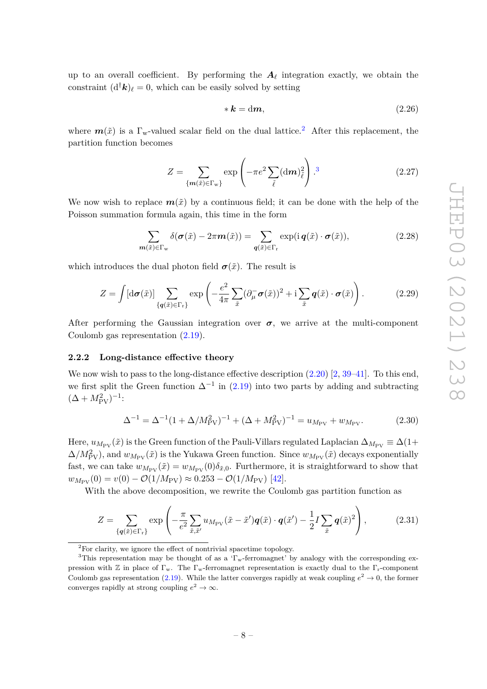up to an overall coefficient. By performing the  $A_\ell$  integration exactly, we obtain the constraint  $(d^{\dagger}k)$ <sub>l</sub> = 0, which can be easily solved by setting

<span id="page-8-3"></span>
$$
* \mathbf{k} = \mathrm{d}\mathbf{m},\tag{2.26}
$$

where  $m(\tilde{x})$  is a  $\Gamma_{w}$ -valued scalar field on the dual lattice.<sup>[2](#page-8-1)</sup> After this replacement, the partition function becomes

$$
Z = \sum_{\{m(\tilde{x}) \in \Gamma_{\mathbf{w}}\}} \exp\left(-\pi e^2 \sum_{\tilde{\ell}} (\mathbf{d}m)_{\tilde{\ell}}^2\right).^3 \tag{2.27}
$$

We now wish to replace  $m(\tilde{x})$  by a continuous field; it can be done with the help of the Poisson summation formula again, this time in the form

$$
\sum_{\mathbf{m}(\tilde{x}) \in \Gamma_{\text{w}}} \delta(\boldsymbol{\sigma}(\tilde{x}) - 2\pi \mathbf{m}(\tilde{x})) = \sum_{\mathbf{q}(\tilde{x}) \in \Gamma_{\text{r}}} \exp(i\mathbf{q}(\tilde{x}) \cdot \boldsymbol{\sigma}(\tilde{x})), \tag{2.28}
$$

which introduces the dual photon field  $\sigma(\tilde{x})$ . The result is

$$
Z = \int [\mathrm{d}\boldsymbol{\sigma}(\tilde{x})] \sum_{\{q(\tilde{x}) \in \Gamma_{\rm r}\}} \exp\left(-\frac{e^2}{4\pi} \sum_{\tilde{x}} (\partial_{\mu}^{-} \boldsymbol{\sigma}(\tilde{x}))^2 + \mathrm{i} \sum_{\tilde{x}} q(\tilde{x}) \cdot \boldsymbol{\sigma}(\tilde{x})\right). \tag{2.29}
$$

After performing the Gaussian integration over  $\sigma$ , we arrive at the multi-component Coulomb gas representation [\(2.19\)](#page-6-3).

#### <span id="page-8-0"></span>**2.2.2 Long-distance effective theory**

We now wish to pass to the long-distance effective description  $(2.20)$  [\[2,](#page-28-1) [39–](#page-30-4)[41\]](#page-30-5). To this end, we first split the Green function  $\Delta^{-1}$  in [\(2.19\)](#page-6-3) into two parts by adding and subtracting  $(\Delta + M_{\rm PV}^2)^{-1}$ :

$$
\Delta^{-1} = \Delta^{-1} (1 + \Delta/M_{\rm PV}^2)^{-1} + (\Delta + M_{\rm PV}^2)^{-1} = u_{M_{\rm PV}} + w_{M_{\rm PV}}.
$$
 (2.30)

Here,  $u_{M_{PV}}(\tilde{x})$  is the Green function of the Pauli-Villars regulated Laplacian  $\Delta_{M_{PV}} \equiv \Delta(1+\Delta)$  $\Delta/M_{\rm PV}^2$ ), and  $w_{M_{\rm PV}}(\tilde{x})$  is the Yukawa Green function. Since  $w_{M_{\rm PV}}(\tilde{x})$  decays exponentially fast, we can take  $w_{M_{\text{PV}}}(\tilde{x}) = w_{M_{\text{PV}}}(\tilde{0}) \delta_{\tilde{x},0}$ . Furthermore, it is straightforward to show that  $w_{M_{\text{PV}}}(0) = v(0) - \mathcal{O}(1/M_{\text{PV}}) \approx 0.253 - \mathcal{O}(1/M_{\text{PV}})$  [\[42\]](#page-30-6).

With the above decomposition, we rewrite the Coulomb gas partition function as

$$
Z = \sum_{\{q(\tilde{x}) \in \Gamma_{\rm r}\}} \exp\left(-\frac{\pi}{e^2} \sum_{\tilde{x}, \tilde{x}'} u_{M_{\rm PV}}(\tilde{x} - \tilde{x}') q(\tilde{x}) \cdot q(\tilde{x}') - \frac{1}{2} I \sum_{\tilde{x}} q(\tilde{x})^2\right),\tag{2.31}
$$

<span id="page-8-2"></span><span id="page-8-1"></span><sup>2</sup>For clarity, we ignore the effect of nontrivial spacetime topology.

<sup>3</sup>This representation may be thought of as a 'Γw-ferromagnet' by analogy with the corresponding expression with  $\mathbb Z$  in place of  $\Gamma_w$ . The  $\Gamma_w$ -ferromagnet representation is exactly dual to the  $\Gamma_r$ -component Coulomb gas representation [\(2.19\)](#page-6-3). While the latter converges rapidly at weak coupling  $e^2 \to 0$ , the former converges rapidly at strong coupling  $e^2 \to \infty$ .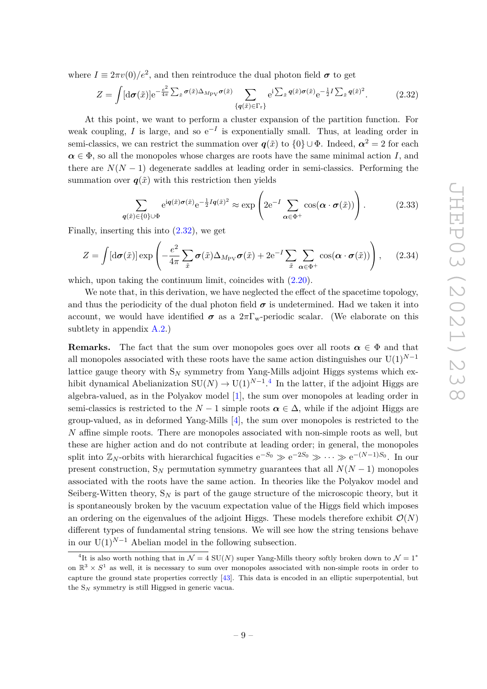where  $I \equiv 2\pi v(0)/e^2$ , and then reintroduce the dual photon field  $\sigma$  to get

<span id="page-9-0"></span>
$$
Z = \int [\mathrm{d}\boldsymbol{\sigma}(\tilde{x})] e^{-\frac{e^2}{4\pi} \sum_{\tilde{x}} \boldsymbol{\sigma}(\tilde{x}) \Delta_{M_{\text{PV}}} \boldsymbol{\sigma}(\tilde{x})} \sum_{\{q(\tilde{x}) \in \Gamma_{\text{r}}\}} e^{i \sum_{\tilde{x}} q(\tilde{x}) \boldsymbol{\sigma}(\tilde{x})} e^{-\frac{1}{2} I \sum_{\tilde{x}} q(\tilde{x})^2}.
$$
(2.32)

At this point, we want to perform a cluster expansion of the partition function. For weak coupling, *I* is large, and so  $e^{-I}$  is exponentially small. Thus, at leading order in semi-classics, we can restrict the summation over  $q(\tilde{x})$  to  $\{0\} \cup \Phi$ . Indeed,  $\alpha^2 = 2$  for each  $\alpha \in \Phi$ , so all the monopoles whose charges are roots have the same minimal action *I*, and there are  $N(N-1)$  degenerate saddles at leading order in semi-classics. Performing the summation over  $q(\tilde{x})$  with this restriction then yields

$$
\sum_{q(\tilde{x}) \in \{0\} \cup \Phi} e^{iq(\tilde{x})\sigma(\tilde{x})} e^{-\frac{1}{2}Iq(\tilde{x})^2} \approx \exp\left(2e^{-I} \sum_{\alpha \in \Phi^+} \cos(\alpha \cdot \sigma(\tilde{x}))\right).
$$
 (2.33)

Finally, inserting this into [\(2.32\)](#page-9-0), we get

$$
Z = \int [\mathrm{d}\boldsymbol{\sigma}(\tilde{x})] \exp\left(-\frac{e^2}{4\pi} \sum_{\tilde{x}} \boldsymbol{\sigma}(\tilde{x}) \Delta_{M_{\mathrm{PV}}} \boldsymbol{\sigma}(\tilde{x}) + 2e^{-I} \sum_{\tilde{x}} \sum_{\boldsymbol{\alpha} \in \Phi^+} \cos(\boldsymbol{\alpha} \cdot \boldsymbol{\sigma}(\tilde{x}))\right), \quad (2.34)
$$

which, upon taking the continuum limit, coincides with  $(2.20)$ .

We note that, in this derivation, we have neglected the effect of the spacetime topology, and thus the periodicity of the dual photon field  $\sigma$  is undetermined. Had we taken it into account, we would have identified  $\sigma$  as a  $2\pi\Gamma_{w}$ -periodic scalar. (We elaborate on this subtlety in appendix [A.2.](#page-24-0))

**Remarks.** The fact that the sum over monopoles goes over all roots  $\alpha \in \Phi$  and that all monopoles associated with these roots have the same action distinguishes our U(1)*N*−<sup>1</sup> lattice gauge theory with  $S_N$  symmetry from Yang-Mills adjoint Higgs systems which exhibit dynamical Abelianization  $SU(N) \to U(1)^{N-1}$ .<sup>[4](#page-9-1)</sup> In the latter, if the adjoint Higgs are algebra-valued, as in the Polyakov model [\[1\]](#page-28-0), the sum over monopoles at leading order in semi-classics is restricted to the  $N-1$  simple roots  $\alpha \in \Delta$ , while if the adjoint Higgs are group-valued, as in deformed Yang-Mills  $[4]$ , the sum over monopoles is restricted to the *N* affine simple roots. There are monopoles associated with non-simple roots as well, but these are higher action and do not contribute at leading order; in general, the monopoles split into  $\mathbb{Z}_N$ -orbits with hierarchical fugacities  $e^{-S_0} \gg e^{-2S_0} \gg \cdots \gg e^{-(N-1)S_0}$ . In our present construction,  $S_N$  permutation symmetry guarantees that all  $N(N-1)$  monopoles associated with the roots have the same action. In theories like the Polyakov model and Seiberg-Witten theory,  $S_N$  is part of the gauge structure of the microscopic theory, but it is spontaneously broken by the vacuum expectation value of the Higgs field which imposes an ordering on the eigenvalues of the adjoint Higgs. These models therefore exhibit  $\mathcal{O}(N)$ different types of fundamental string tensions. We will see how the string tensions behave in our  $U(1)^{N-1}$  Abelian model in the following subsection.

<span id="page-9-1"></span><sup>&</sup>lt;sup>4</sup>It is also worth nothing that in  $\mathcal{N} = 4$  SU(*N*) super Yang-Mills theory softly broken down to  $\mathcal{N} = 1^*$ on  $\mathbb{R}^3 \times S^1$  as well, it is necessary to sum over monopoles associated with non-simple roots in order to capture the ground state properties correctly [\[43\]](#page-30-7). This data is encoded in an elliptic superpotential, but the S*<sup>N</sup>* symmetry is still Higgsed in generic vacua.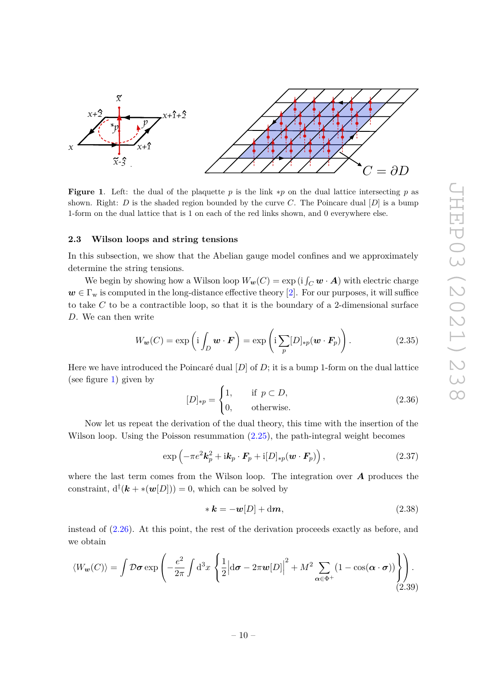

<span id="page-10-1"></span>**Figure 1**. Left: the dual of the plaquette *p* is the link ∗*p* on the dual lattice intersecting *p* as shown. Right: *D* is the shaded region bounded by the curve *C*. The Poincare dual [*D*] is a bump 1-form on the dual lattice that is 1 on each of the red links shown, and 0 everywhere else.

#### <span id="page-10-0"></span>**2.3 Wilson loops and string tensions**

In this subsection, we show that the Abelian gauge model confines and we approximately determine the string tensions.

We begin by showing how a Wilson loop  $W_w(C) = \exp(i \int_C \boldsymbol{w} \cdot \boldsymbol{A})$  with electric charge  $w \in \Gamma_w$  is computed in the long-distance effective theory [\[2\]](#page-28-1). For our purposes, it will suffice to take *C* to be a contractible loop, so that it is the boundary of a 2-dimensional surface *D*. We can then write

$$
W_{\boldsymbol{w}}(C) = \exp\left(\mathrm{i} \int_D \boldsymbol{w} \cdot \boldsymbol{F}\right) = \exp\left(\mathrm{i} \sum_p [D]_{\ast p}(\boldsymbol{w} \cdot \boldsymbol{F}_p)\right). \tag{2.35}
$$

Here we have introduced the Poincaré dual [*D*] of *D*; it is a bump 1-form on the dual lattice (see figure [1\)](#page-10-1) given by

$$
[D]_{\ast p} = \begin{cases} 1, & \text{if } p \subset D, \\ 0, & \text{otherwise.} \end{cases} \tag{2.36}
$$

Now let us repeat the derivation of the dual theory, this time with the insertion of the Wilson loop. Using the Poisson resummation  $(2.25)$ , the path-integral weight becomes

$$
\exp\left(-\pi e^2 \mathbf{k}_p^2 + i \mathbf{k}_p \cdot \mathbf{F}_p + i[D]_{\ast p}(\mathbf{w} \cdot \mathbf{F}_p)\right),\tag{2.37}
$$

where the last term comes from the Wilson loop. The integration over *A* produces the constraint,  $d^{\dagger}(\mathbf{k} + \ast(\mathbf{w}[D])) = 0$ , which can be solved by

$$
* \mathbf{k} = -\mathbf{w}[D] + \mathrm{d}\mathbf{m},\tag{2.38}
$$

instead of [\(2.26\)](#page-8-3). At this point, the rest of the derivation proceeds exactly as before, and we obtain

<span id="page-10-2"></span>
$$
\langle W_{\boldsymbol{w}}(C) \rangle = \int \mathcal{D}\boldsymbol{\sigma} \exp\left(-\frac{e^2}{2\pi} \int d^3x \left\{ \frac{1}{2} \Big| d\boldsymbol{\sigma} - 2\pi \boldsymbol{w}[D] \Big|^2 + M^2 \sum_{\boldsymbol{\alpha} \in \Phi^+} (1 - \cos(\boldsymbol{\alpha} \cdot \boldsymbol{\sigma})) \right\} \right). \tag{2.39}
$$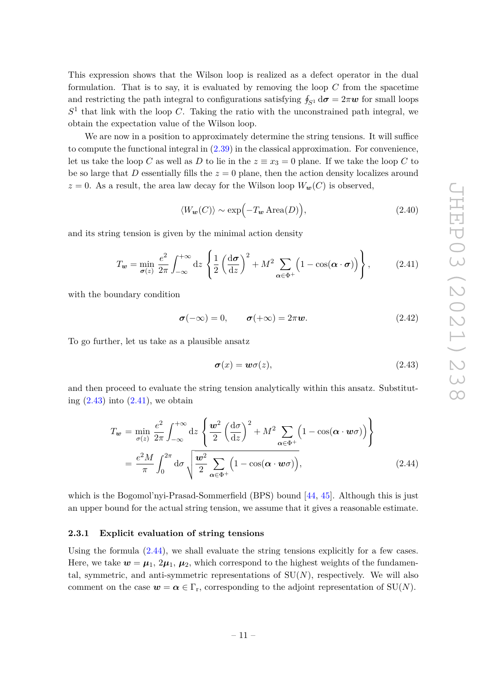This expression shows that the Wilson loop is realized as a defect operator in the dual formulation. That is to say, it is evaluated by removing the loop *C* from the spacetime and restricting the path integral to configurations satisfying  $\oint_{S^1} d\sigma = 2\pi \omega$  for small loops  $S<sup>1</sup>$  that link with the loop *C*. Taking the ratio with the unconstrained path integral, we obtain the expectation value of the Wilson loop.

We are now in a position to approximately determine the string tensions. It will suffice to compute the functional integral in [\(2.39\)](#page-10-2) in the classical approximation. For convenience, let us take the loop *C* as well as *D* to lie in the  $z \equiv x_3 = 0$  plane. If we take the loop *C* to be so large that *D* essentially fills the  $z = 0$  plane, then the action density localizes around  $z = 0$ . As a result, the area law decay for the Wilson loop  $W_w(C)$  is observed,

$$
\langle W_{\mathbf{w}}(C) \rangle \sim \exp\Bigl(-T_{\mathbf{w}} \operatorname{Area}(D)\Bigr),\tag{2.40}
$$

and its string tension is given by the minimal action density

<span id="page-11-2"></span>
$$
T_{\boldsymbol{w}} = \min_{\boldsymbol{\sigma}(z)} \frac{e^2}{2\pi} \int_{-\infty}^{+\infty} dz \, \left\{ \frac{1}{2} \left( \frac{d\boldsymbol{\sigma}}{dz} \right)^2 + M^2 \sum_{\boldsymbol{\alpha} \in \Phi^+} \left( 1 - \cos(\boldsymbol{\alpha} \cdot \boldsymbol{\sigma}) \right) \right\}, \tag{2.41}
$$

with the boundary condition

$$
\sigma(-\infty) = 0, \qquad \sigma(+\infty) = 2\pi w. \tag{2.42}
$$

To go further, let us take as a plausible ansatz

<span id="page-11-1"></span>
$$
\sigma(x) = w\sigma(z),\tag{2.43}
$$

and then proceed to evaluate the string tension analytically within this ansatz. Substituting  $(2.43)$  into  $(2.41)$ , we obtain

<span id="page-11-3"></span>
$$
T_w = \min_{\sigma(z)} \frac{e^2}{2\pi} \int_{-\infty}^{+\infty} dz \left\{ \frac{w^2}{2} \left( \frac{d\sigma}{dz} \right)^2 + M^2 \sum_{\alpha \in \Phi^+} \left( 1 - \cos(\alpha \cdot w\sigma) \right) \right\}
$$
  
= 
$$
\frac{e^2 M}{\pi} \int_0^{2\pi} d\sigma \sqrt{\frac{w^2}{2} \sum_{\alpha \in \Phi^+} \left( 1 - \cos(\alpha \cdot w\sigma) \right)},
$$
(2.44)

which is the Bogomol'nyi-Prasad-Sommerfield (BPS) bound [\[44,](#page-30-8) [45\]](#page-30-9). Although this is just an upper bound for the actual string tension, we assume that it gives a reasonable estimate.

# <span id="page-11-0"></span>**2.3.1 Explicit evaluation of string tensions**

Using the formula [\(2.44\)](#page-11-3), we shall evaluate the string tensions explicitly for a few cases. Here, we take  $w = \mu_1, 2\mu_1, \mu_2$ , which correspond to the highest weights of the fundamental, symmetric, and anti-symmetric representations of  $SU(N)$ , respectively. We will also comment on the case  $w = \alpha \in \Gamma_r$ , corresponding to the adjoint representation of SU(*N*).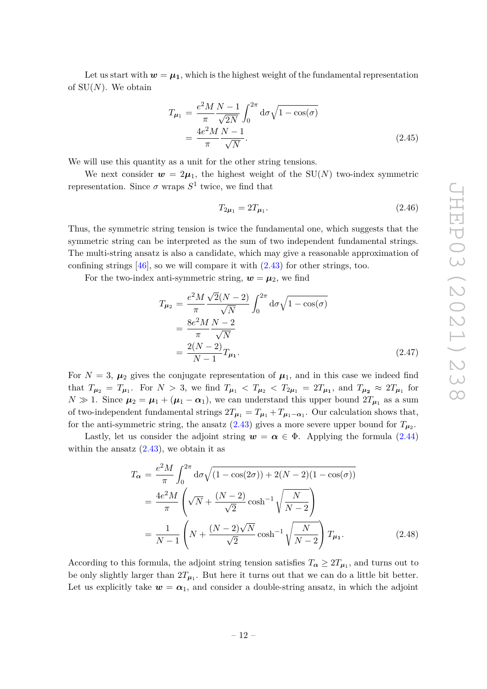Let us start with  $w = \mu_1$ , which is the highest weight of the fundamental representation of SU(*N*). We obtain

$$
T_{\mu_1} = \frac{e^2 M N - 1}{\pi} \frac{N - 1}{\sqrt{2N}} \int_0^{2\pi} d\sigma \sqrt{1 - \cos(\sigma)}
$$
  
= 
$$
\frac{4e^2 M N - 1}{\pi}.
$$
 (2.45)

We will use this quantity as a unit for the other string tensions.

We next consider  $w = 2\mu_1$ , the highest weight of the SU(*N*) two-index symmetric representation. Since  $\sigma$  wraps  $S^1$  twice, we find that

$$
T_{2\mu_1} = 2T_{\mu_1}.\tag{2.46}
$$

Thus, the symmetric string tension is twice the fundamental one, which suggests that the symmetric string can be interpreted as the sum of two independent fundamental strings. The multi-string ansatz is also a candidate, which may give a reasonable approximation of confining strings  $[46]$ , so we will compare it with  $(2.43)$  for other strings, too.

For the two-index anti-symmetric string,  $w = \mu_2$ , we find

$$
T_{\mu_2} = \frac{e^2 M}{\pi} \frac{\sqrt{2}(N-2)}{\sqrt{N}} \int_0^{2\pi} d\sigma \sqrt{1 - \cos(\sigma)}
$$
  
= 
$$
\frac{8e^2 M N - 2}{\pi \sqrt{N}}
$$
  
= 
$$
\frac{2(N-2)}{N-1} T_{\mu_1}.
$$
 (2.47)

For  $N = 3$ ,  $\mu_2$  gives the conjugate representation of  $\mu_1$ , and in this case we indeed find that  $T_{\mu_2} = T_{\mu_1}$ . For  $N > 3$ , we find  $T_{\mu_1} < T_{\mu_2} < T_{2\mu_1} = 2T_{\mu_1}$ , and  $T_{\mu_2} \approx 2T_{\mu_1}$  for  $N \gg 1$ . Since  $\mu_2 = \mu_1 + (\mu_1 - \alpha_1)$ , we can understand this upper bound  $2T_{\mu_1}$  as a sum of two-independent fundamental strings  $2T_{\mu_1} = T_{\mu_1} + T_{\mu_1 - \alpha_1}$ . Our calculation shows that, for the anti-symmetric string, the ansatz  $(2.43)$  gives a more severe upper bound for  $T_{\mu_2}$ .

Lastly, let us consider the adjoint string  $w = \alpha \in \Phi$ . Applying the formula [\(2.44\)](#page-11-3) within the ansatz  $(2.43)$ , we obtain it as

$$
T_{\alpha} = \frac{e^2 M}{\pi} \int_0^{2\pi} d\sigma \sqrt{(1 - \cos(2\sigma)) + 2(N - 2)(1 - \cos(\sigma))}
$$
  
= 
$$
\frac{4e^2 M}{\pi} \left( \sqrt{N} + \frac{(N - 2)}{\sqrt{2}} \cosh^{-1} \sqrt{\frac{N}{N - 2}} \right)
$$
  
= 
$$
\frac{1}{N - 1} \left( N + \frac{(N - 2)\sqrt{N}}{\sqrt{2}} \cosh^{-1} \sqrt{\frac{N}{N - 2}} \right) T_{\mu_1}.
$$
 (2.48)

According to this formula, the adjoint string tension satisfies  $T_{\alpha} \geq 2T_{\mu_1}$ , and turns out to be only slightly larger than  $2T_{\mu_1}$ . But here it turns out that we can do a little bit better. Let us explicitly take  $w = \alpha_1$ , and consider a double-string ansatz, in which the adjoint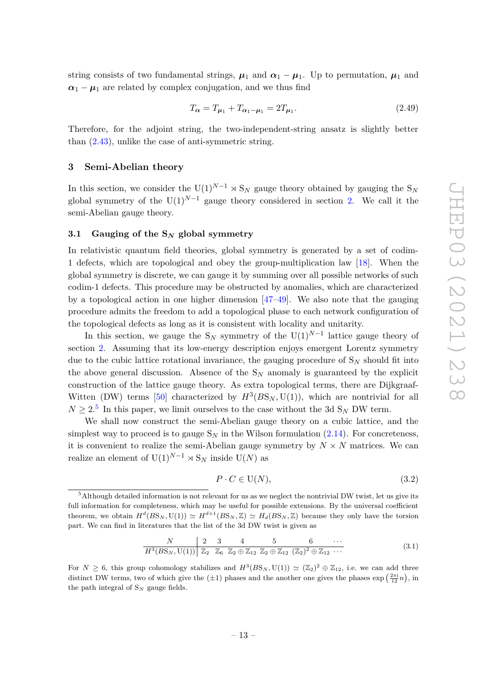string consists of two fundamental strings,  $\mu_1$  and  $\alpha_1 - \mu_1$ . Up to permutation,  $\mu_1$  and  $\alpha_1 - \mu_1$  are related by complex conjugation, and we thus find

$$
T_{\alpha} = T_{\mu_1} + T_{\alpha_1 - \mu_1} = 2T_{\mu_1}.
$$
\n(2.49)

Therefore, for the adjoint string, the two-independent-string ansatz is slightly better than [\(2.43\)](#page-11-1), unlike the case of anti-symmetric string.

## <span id="page-13-0"></span>**3 Semi-Abelian theory**

In this section, we consider the  $U(1)^{N-1} \times S_N$  gauge theory obtained by gauging the  $S_N$ global symmetry of the U(1)<sup>*N*−1</sup> gauge theory considered in section [2.](#page-4-0) We call it the semi-Abelian gauge theory.

#### <span id="page-13-1"></span>**3.1 Gauging of the S***<sup>N</sup>* **global symmetry**

In relativistic quantum field theories, global symmetry is generated by a set of codim-1 defects, which are topological and obey the group-multiplication law [\[18\]](#page-29-3). When the global symmetry is discrete, we can gauge it by summing over all possible networks of such codim-1 defects. This procedure may be obstructed by anomalies, which are characterized by a topological action in one higher dimension [\[47](#page-30-11)[–49\]](#page-31-0). We also note that the gauging procedure admits the freedom to add a topological phase to each network configuration of the topological defects as long as it is consistent with locality and unitarity.

In this section, we gauge the  $S_N$  symmetry of the  $U(1)^{N-1}$  lattice gauge theory of section [2.](#page-4-0) Assuming that its low-energy description enjoys emergent Lorentz symmetry due to the cubic lattice rotational invariance, the gauging procedure of S*<sup>N</sup>* should fit into the above general discussion. Absence of the  $S_N$  anomaly is guaranteed by the explicit construction of the lattice gauge theory. As extra topological terms, there are Dijkgraaf-Witten (DW) terms [\[50\]](#page-31-1) characterized by  $H^3(BS_N, U(1))$ , which are nontrivial for all  $N \geq 2$ <sup>[5](#page-13-2)</sup> In this paper, we limit ourselves to the case without the 3d S<sub>N</sub> DW term.

We shall now construct the semi-Abelian gauge theory on a cubic lattice, and the simplest way to proceed is to gauge  $S_N$  in the Wilson formulation  $(2.14)$ . For concreteness, it is convenient to realize the semi-Abelian gauge symmetry by  $N \times N$  matrices. We can realize an element of  $U(1)^{N-1} \rtimes S_N$  inside  $U(N)$  as

$$
P \cdot C \in \mathcal{U}(N),\tag{3.2}
$$

$$
\begin{array}{c|cccccc}\nN & 2 & 3 & 4 & 5 & 6 & \cdots \\
\hline\nH^3(BS_N, U(1)) & \mathbb{Z}_2 & \mathbb{Z}_6 & \mathbb{Z}_2 \oplus \mathbb{Z}_{12} & \mathbb{Z}_2 \oplus \mathbb{Z}_{12} & (\mathbb{Z}_2)^2 \oplus \mathbb{Z}_{12} & \cdots\n\end{array} \tag{3.1}
$$

For  $N \geq 6$ , this group cohomology stabilizes and  $H^3(BS_N, U(1)) \simeq (\mathbb{Z}_2)^2 \oplus \mathbb{Z}_{12}$ , i.e. we can add three distinct DW terms, two of which give the  $(\pm 1)$  phases and the another one gives the phases  $\exp\left(\frac{2\pi i}{12}n\right)$ , in the path integral of  $S_N$  gauge fields.

<span id="page-13-2"></span> $5$ Although detailed information is not relevant for us as we neglect the nontrivial DW twist, let us give its full information for completeness, which may be useful for possible extensions. By the universal coefficient theorem, we obtain  $H^d(BS_N, U(1)) \simeq H^{d+1}(BS_N, \mathbb{Z}) \simeq H_d(BS_N, \mathbb{Z})$  because they only have the torsion part. We can find in literatures that the list of the 3d DW twist is given as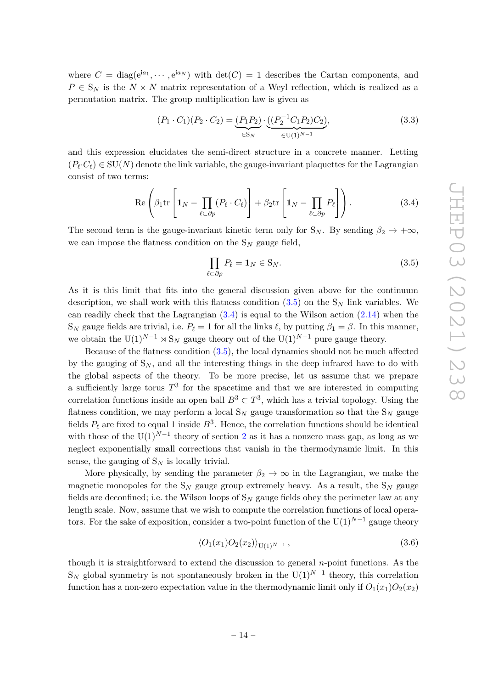where  $C = \text{diag}(e^{ia_1}, \dots, e^{ia_N})$  with  $\det(C) = 1$  describes the Cartan components, and  $P \in S_N$  is the  $N \times N$  matrix representation of a Weyl reflection, which is realized as a permutation matrix. The group multiplication law is given as

$$
(P_1 \cdot C_1)(P_2 \cdot C_2) = \underbrace{(P_1 P_2)}_{\in S_N} \cdot \underbrace{((P_2^{-1} C_1 P_2) C_2)}_{\in U(1)^{N-1}},
$$
\n(3.3)

and this expression elucidates the semi-direct structure in a concrete manner. Letting  $(P_\ell \cdot C_\ell) \in SU(N)$  denote the link variable, the gauge-invariant plaquettes for the Lagrangian consist of two terms:

<span id="page-14-1"></span>
$$
\operatorname{Re}\left(\beta_1 \operatorname{tr}\left[\mathbf{1}_N - \prod_{\ell \subset \partial p} (P_\ell \cdot C_\ell)\right] + \beta_2 \operatorname{tr}\left[\mathbf{1}_N - \prod_{\ell \subset \partial p} P_\ell\right]\right). \tag{3.4}
$$

The second term is the gauge-invariant kinetic term only for  $S_N$ . By sending  $\beta_2 \rightarrow +\infty$ , we can impose the flatness condition on the S*<sup>N</sup>* gauge field,

<span id="page-14-0"></span>
$$
\prod_{\ell \subset \partial p} P_{\ell} = \mathbf{1}_N \in \mathcal{S}_N. \tag{3.5}
$$

As it is this limit that fits into the general discussion given above for the continuum description, we shall work with this flatness condition [\(3.5\)](#page-14-0) on the S*<sup>N</sup>* link variables. We can readily check that the Lagrangian  $(3.4)$  is equal to the Wilson action  $(2.14)$  when the S<sub>*N*</sub> gauge fields are trivial, i.e.  $P_\ell = 1$  for all the links  $\ell$ , by putting  $\beta_1 = \beta$ . In this manner, we obtain the U(1)<sup>*N*−1</sup>  $\times$  S<sub>*N*</sub> gauge theory out of the U(1)<sup>*N*−1</sup> pure gauge theory.

Because of the flatness condition [\(3.5\)](#page-14-0), the local dynamics should not be much affected by the gauging of  $S_N$ , and all the interesting things in the deep infrared have to do with the global aspects of the theory. To be more precise, let us assume that we prepare a sufficiently large torus  $T^3$  for the spacetime and that we are interested in computing correlation functions inside an open ball  $B^3 \subset T^3$ , which has a trivial topology. Using the flatness condition, we may perform a local  $S_N$  gauge transformation so that the  $S_N$  gauge fields  $P_\ell$  are fixed to equal 1 inside  $B^3$ . Hence, the correlation functions should be identical with those of the  $U(1)^{N-1}$  theory of section [2](#page-4-0) as it has a nonzero mass gap, as long as we neglect exponentially small corrections that vanish in the thermodynamic limit. In this sense, the gauging of  $S_N$  is locally trivial.

More physically, by sending the parameter  $\beta_2 \rightarrow \infty$  in the Lagrangian, we make the magnetic monopoles for the  $S_N$  gauge group extremely heavy. As a result, the  $S_N$  gauge fields are deconfined; i.e. the Wilson loops of  $S_N$  gauge fields obey the perimeter law at any length scale. Now, assume that we wish to compute the correlation functions of local operators. For the sake of exposition, consider a two-point function of the  $U(1)^{N-1}$  gauge theory

$$
\langle O_1(x_1)O_2(x_2)\rangle_{\mathrm{U}(1)^{N-1}},\tag{3.6}
$$

though it is straightforward to extend the discussion to general *n*-point functions. As the  $S_N$  global symmetry is not spontaneously broken in the  $U(1)^{N-1}$  theory, this correlation function has a non-zero expectation value in the thermodynamic limit only if  $O_1(x_1)O_2(x_2)$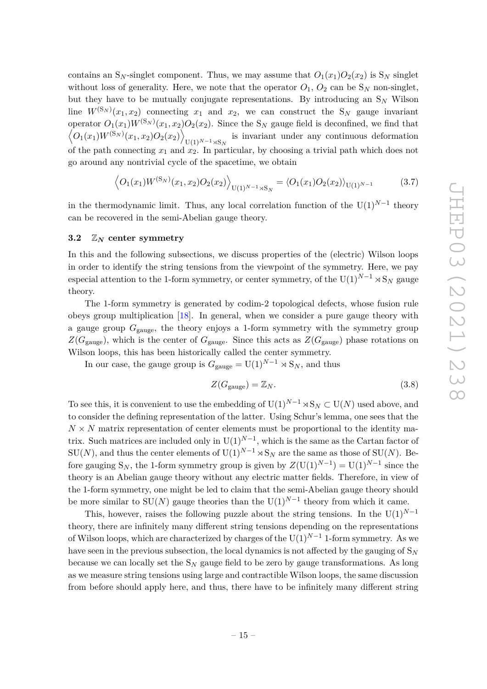contains an S<sub>N</sub>-singlet component. Thus, we may assume that  $O_1(x_1)O_2(x_2)$  is S<sub>N</sub> singlet without loss of generality. Here, we note that the operator  $O_1$ ,  $O_2$  can be  $S_N$  non-singlet, but they have to be mutually conjugate representations. By introducing an S*<sup>N</sup>* Wilson line  $W^{(\mathbf{S}_N)}(x_1, x_2)$  connecting  $x_1$  and  $x_2$ , we can construct the  $\mathbf{S}_N$  gauge invariant operator  $O_1(x_1)W^{(\mathcal{S}_N)}(x_1, x_2)O_2(x_2)$ . Since the S<sub>N</sub> gauge field is deconfined, we find that  $\left\langle O_1(x_1) W^{(\mathrm{S}_N)}(x_1,x_2) O_2(x_2) \right\rangle$  $U(1)^{N-1} \rtimes S_N$  is invariant under any continuous deformation of the path connecting  $x_1$  and  $x_2$ . In particular, by choosing a trivial path which does not go around any nontrivial cycle of the spacetime, we obtain

$$
\left\langle O_1(x_1)W^{(\mathcal{S}_N)}(x_1, x_2)O_2(x_2)\right\rangle_{\mathcal{U}(1)^{N-1}\rtimes\mathcal{S}_N} = \left\langle O_1(x_1)O_2(x_2)\right\rangle_{\mathcal{U}(1)^{N-1}}\tag{3.7}
$$

in the thermodynamic limit. Thus, any local correlation function of the  $U(1)^{N-1}$  theory can be recovered in the semi-Abelian gauge theory.

#### <span id="page-15-0"></span>**3.2** Z*<sup>N</sup>* **center symmetry**

In this and the following subsections, we discuss properties of the (electric) Wilson loops in order to identify the string tensions from the viewpoint of the symmetry. Here, we pay especial attention to the 1-form symmetry, or center symmetry, of the  $U(1)^{N-1} \rtimes S_N$  gauge theory.

The 1-form symmetry is generated by codim-2 topological defects, whose fusion rule obeys group multiplication [\[18\]](#page-29-3). In general, when we consider a pure gauge theory with a gauge group  $G_{\text{gauge}}$ , the theory enjoys a 1-form symmetry with the symmetry group  $Z(G_{\text{gauge}})$ , which is the center of  $G_{\text{gauge}}$ . Since this acts as  $Z(G_{\text{gauge}})$  phase rotations on Wilson loops, this has been historically called the center symmetry.

In our case, the gauge group is  $G_{\text{gauge}} = U(1)^{N-1} \rtimes S_N$ , and thus

$$
Z(G_{\text{gauge}}) = \mathbb{Z}_N. \tag{3.8}
$$

To see this, it is convenient to use the embedding of  $U(1)^{N-1} \rtimes S_N \subset U(N)$  used above, and to consider the defining representation of the latter. Using Schur's lemma, one sees that the  $N \times N$  matrix representation of center elements must be proportional to the identity matrix. Such matrices are included only in  $U(1)^{N-1}$ , which is the same as the Cartan factor of SU(*N*), and thus the center elements of U(1)<sup>*N*−1</sup>  $\rtimes$ S<sub>*N*</sub> are the same as those of SU(*N*). Before gauging  $S_N$ , the 1-form symmetry group is given by  $Z(\mathrm{U}(1)^{N-1}) = \mathrm{U}(1)^{N-1}$  since the theory is an Abelian gauge theory without any electric matter fields. Therefore, in view of the 1-form symmetry, one might be led to claim that the semi-Abelian gauge theory should be more similar to  $SU(N)$  gauge theories than the  $U(1)^{N-1}$  theory from which it came.

This, however, raises the following puzzle about the string tensions. In the U(1)<sup>*N*−1</sup> theory, there are infinitely many different string tensions depending on the representations of Wilson loops, which are characterized by charges of the  $U(1)^{N-1}$  1-form symmetry. As we have seen in the previous subsection, the local dynamics is not affected by the gauging of  $S_N$ because we can locally set the  $S_N$  gauge field to be zero by gauge transformations. As long as we measure string tensions using large and contractible Wilson loops, the same discussion from before should apply here, and thus, there have to be infinitely many different string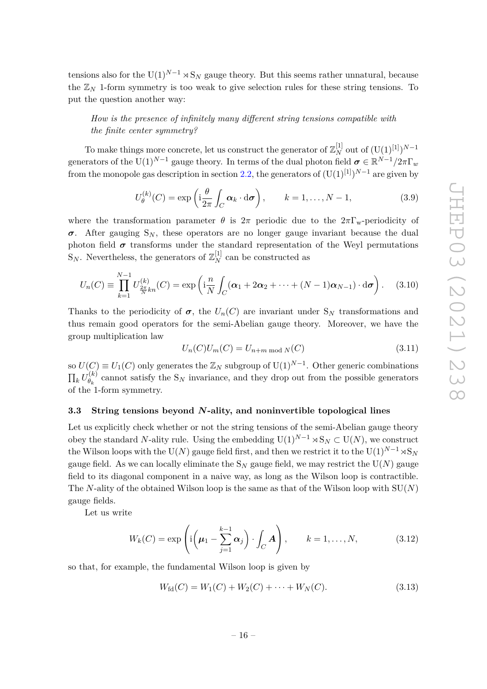tensions also for the  $U(1)^{N-1} \rtimes S_N$  gauge theory. But this seems rather unnatural, because the  $\mathbb{Z}_N$  1-form symmetry is too weak to give selection rules for these string tensions. To put the question another way:

# *How is the presence of infinitely many different string tensions compatible with the finite center symmetry?*

To make things more concrete, let us construct the generator of  $\mathbb{Z}_N^{[1]}$  out of  $(\mathbf{U}(1)^{[1]})^{N-1}$ generators of the U(1)<sup>*N*−1</sup> gauge theory. In terms of the dual photon field  $\sigma \in \mathbb{R}^{N-1}/2\pi\Gamma_w$ from the monopole gas description in section [2.2,](#page-6-1) the generators of  $(U(1)^{[1]})^{N-1}$  are given by

<span id="page-16-2"></span>
$$
U_{\theta}^{(k)}(C) = \exp\left(i\frac{\theta}{2\pi} \int_C \alpha_k \cdot d\sigma\right), \qquad k = 1, \dots, N-1,
$$
\n(3.9)

where the transformation parameter  $\theta$  is  $2\pi$  periodic due to the  $2\pi\Gamma_{\rm w}$ -periodicity of  $\sigma$ . After gauging  $S_N$ , these operators are no longer gauge invariant because the dual photon field  $\sigma$  transforms under the standard representation of the Weyl permutations  $\mathbf{S}_N$ . Nevertheless, the generators of  $\mathbb{Z}_N^{[1]}$  can be constructed as

$$
U_n(C) \equiv \prod_{k=1}^{N-1} U_{\frac{2\pi}{N}kn}^{(k)}(C) = \exp\left(i\frac{n}{N}\int_C (\alpha_1 + 2\alpha_2 + \dots + (N-1)\alpha_{N-1}) \cdot d\sigma\right). \tag{3.10}
$$

Thanks to the periodicity of  $\sigma$ , the  $U_n(C)$  are invariant under  $S_N$  transformations and thus remain good operators for the semi-Abelian gauge theory. Moreover, we have the group multiplication law

<span id="page-16-1"></span>
$$
U_n(C)U_m(C) = U_{n+m \bmod N}(C)
$$
\n
$$
(3.11)
$$

 $U(C) \equiv U_1(C)$  only generates the  $\mathbb{Z}_N$  subgroup of  $U(1)^{N-1}$ . Other generic combinations  $\prod_k U_{\theta_k}^{(k)}$  $\theta_k^{(k)}$  cannot satisfy the S<sub>N</sub> invariance, and they drop out from the possible generators of the 1-form symmetry.

#### <span id="page-16-0"></span>**3.3 String tensions beyond** *N***-ality, and noninvertible topological lines**

Let us explicitly check whether or not the string tensions of the semi-Abelian gauge theory obey the standard *N*-ality rule. Using the embedding  $U(1)^{N-1} \rtimes S_N \subset U(N)$ , we construct the Wilson loops with the U(*N*) gauge field first, and then we restrict it to the U(1)<sup>*N*−1</sup> $\rtimes$ S<sub>*N*</sub> gauge field. As we can locally eliminate the  $S_N$  gauge field, we may restrict the  $U(N)$  gauge field to its diagonal component in a naive way, as long as the Wilson loop is contractible. The *N*-ality of the obtained Wilson loop is the same as that of the Wilson loop with SU(*N*) gauge fields.

Let us write

$$
W_k(C) = \exp\left(\mathrm{i}\left(\mu_1 - \sum_{j=1}^{k-1} \alpha_j\right) \cdot \int_C \mathbf{A}\right), \qquad k = 1, \dots, N,\tag{3.12}
$$

so that, for example, the fundamental Wilson loop is given by

$$
W_{\text{fd}}(C) = W_1(C) + W_2(C) + \dots + W_N(C). \tag{3.13}
$$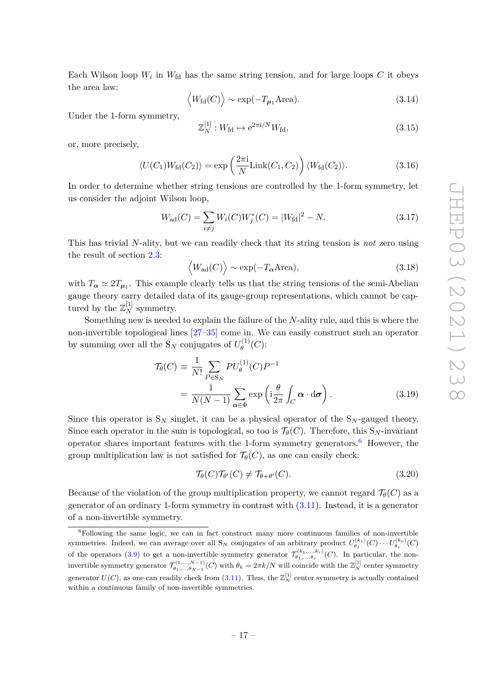Each Wilson loop  $W_i$  in  $W_{\text{fd}}$  has the same string tension, and for large loops  $C$  it obeys the area law:

$$
\langle W_{\text{fd}}(C) \rangle \sim \exp(-T_{\mu_1} \text{Area}).
$$
 (3.14)

Under the 1-form symmetry,

$$
\mathbb{Z}_N^{[1]} : W_{\text{fd}} \mapsto e^{2\pi i/N} W_{\text{fd}},\tag{3.15}
$$

or, more precisely,

$$
\langle U(C_1)W_{\text{fd}}(C_2)\rangle = \exp\left(\frac{2\pi i}{N}\text{Link}(C_1, C_2)\right) \langle W_{\text{fd}}(C_2)\rangle. \tag{3.16}
$$

In order to determine whether string tensions are controlled by the 1-form symmetry, let us consider the adjoint Wilson loop,

$$
W_{\rm ad}(C) = \sum_{i \neq j} W_i(C) W_j^*(C) = |W_{\rm fd}|^2 - N.
$$
 (3.17)

This has trivial *N*-ality, but we can readily check that its string tension is *not* zero using the result of section [2.3:](#page-10-0)

$$
\langle W_{\rm ad}(C) \rangle \sim \exp(-T_{\alpha} \text{Area}),
$$
 (3.18)

with  $T_{\alpha} \simeq 2T_{\mu_1}$ . This example clearly tells us that the string tensions of the semi-Abelian gauge theory carry detailed data of its gauge-group representations, which cannot be captured by the  $\mathbb{Z}_N^{[1]}$  symmetry.

Something new is needed to explain the failure of the *N*-ality rule, and this is where the non-invertible topological lines [\[27–](#page-29-6)[35\]](#page-30-0) come in. We can easily construct such an operator by summing over all the  $S_N$  conjugates of  $U_{\theta}^{(1)}$ *θ* (*C*):

$$
\mathcal{T}_{\theta}(C) \equiv \frac{1}{N!} \sum_{P \in \mathcal{S}_N} PU_{\theta}^{(1)}(C)P^{-1}
$$

$$
= \frac{1}{N(N-1)} \sum_{\alpha \in \Phi} \exp\left(i\frac{\theta}{2\pi} \int_C \alpha \cdot d\sigma\right).
$$
(3.19)

Since this operator is  $S_N$  singlet, it can be a physical operator of the  $S_N$ -gauged theory. Since each operator in the sum is topological, so too is  $\mathcal{T}_{\theta}(C)$ . Therefore, this S<sub>N</sub>-invariant operator shares important features with the 1-form symmetry generators.<sup>[6](#page-17-0)</sup> However, the group multiplication law is not satisfied for  $\mathcal{T}_{\theta}(C)$ , as one can easily check:

$$
\mathcal{T}_{\theta}(C)\mathcal{T}_{\theta'}(C) \neq \mathcal{T}_{\theta+\theta'}(C). \tag{3.20}
$$

Because of the violation of the group multiplication property, we cannot regard  $\mathcal{T}_{\theta}(C)$  as a generator of an ordinary 1-form symmetry in contrast with  $(3.11)$ . Instead, it is a generator of a non-invertible symmetry.

<span id="page-17-0"></span> ${}^{6}$ Following the same logic, we can in fact construct many more continuous families of non-invertible symmetries. Indeed, we can average over all  $S_N$  conjugates of an arbitrary product  $U_{\theta_1}^{(k_1)}(C) \cdots U_{\theta_r}^{(k_r)}(C)$ of the operators [\(3.9\)](#page-16-2) to get a non-invertible symmetry generator  $\mathcal{T}_{\theta_1,\dots,\theta_r}^{(k_1,\dots,k_r)}(C)$ . In particular, the noninvertible symmetry generator  $\mathcal{T}_{\theta_1,\dots,\theta_{N-1}}^{(1,\dots,N-1)}(C)$  with  $\theta_k = 2\pi k/N$  will coincide with the  $\mathbb{Z}_N^{[1]}$  center symmetry generator  $U(C)$ , as one can readily check from [\(3.11\)](#page-16-1). Thus, the  $\mathbb{Z}_N^{[1]}$  center symmetry is actually contained within a continuous family of non-invertible symmetries.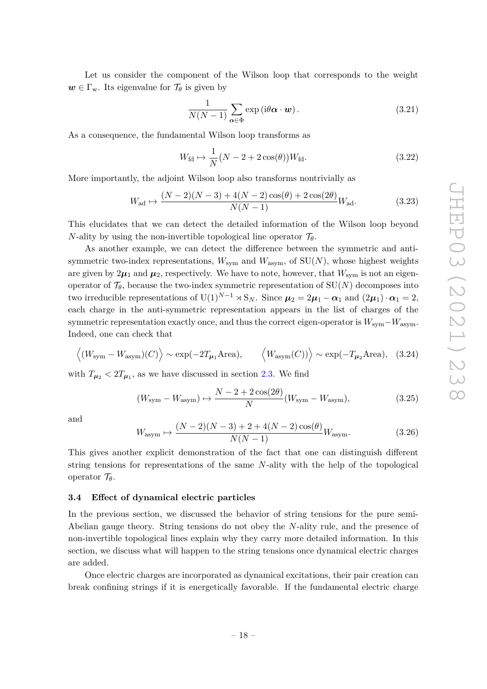Let us consider the component of the Wilson loop that corresponds to the weight  $w \in \Gamma_w$ . Its eigenvalue for  $\mathcal{T}_{\theta}$  is given by

$$
\frac{1}{N(N-1)}\sum_{\alpha\in\Phi}\exp\left(i\theta\boldsymbol{\alpha}\cdot\boldsymbol{w}\right).
$$
 (3.21)

As a consequence, the fundamental Wilson loop transforms as

$$
W_{\text{fd}} \mapsto \frac{1}{N} \left( N - 2 + 2 \cos(\theta) \right) W_{\text{fd}}.\tag{3.22}
$$

More importantly, the adjoint Wilson loop also transforms nontrivially as

$$
W_{\text{ad}} \mapsto \frac{(N-2)(N-3) + 4(N-2)\cos(\theta) + 2\cos(2\theta)}{N(N-1)} W_{\text{ad}}.
$$
 (3.23)

This elucidates that we can detect the detailed information of the Wilson loop beyond *N*-ality by using the non-invertible topological line operator  $\mathcal{T}_{\theta}$ .

As another example, we can detect the difference between the symmetric and antisymmetric two-index representations,  $W_{\text{sym}}$  and  $W_{\text{asym}}$ , of  $SU(N)$ , whose highest weights are given by  $2\mu_1$  and  $\mu_2$ , respectively. We have to note, however, that  $W_{sym}$  is not an eigenoperator of  $\mathcal{T}_{\theta}$ , because the two-index symmetric representation of  $SU(N)$  decomposes into two irreducible representations of  $U(1)^{N-1} \rtimes S_N$ . Since  $\mu_2 = 2\mu_1 - \alpha_1$  and  $(2\mu_1) \cdot \alpha_1 = 2$ , each charge in the anti-symmetric representation appears in the list of charges of the symmetric representation exactly once, and thus the correct eigen-operator is  $W_{sym}-W_{asym}$ . Indeed, one can check that

$$
\langle (W_{\text{sym}} - W_{\text{asym}})(C) \rangle \sim \exp(-2T_{\mu_1} \text{Area}), \qquad \langle W_{\text{asym}}(C) \rangle \sim \exp(-T_{\mu_2} \text{Area}), \quad (3.24)
$$

with  $T_{\mu_2} < 2T_{\mu_1}$ , as we have discussed in section [2.3.](#page-10-0) We find

$$
(W_{\text{sym}} - W_{\text{asym}}) \mapsto \frac{N - 2 + 2\cos(2\theta)}{N} (W_{\text{sym}} - W_{\text{asym}}),\tag{3.25}
$$

and

$$
W_{\text{asym}} \mapsto \frac{(N-2)(N-3) + 2 + 4(N-2)\cos(\theta)}{N(N-1)} W_{\text{asym}}.\tag{3.26}
$$

This gives another explicit demonstration of the fact that one can distinguish different string tensions for representations of the same *N*-ality with the help of the topological operator T*θ*.

#### <span id="page-18-0"></span>**3.4 Effect of dynamical electric particles**

In the previous section, we discussed the behavior of string tensions for the pure semi-Abelian gauge theory. String tensions do not obey the *N*-ality rule, and the presence of non-invertible topological lines explain why they carry more detailed information. In this section, we discuss what will happen to the string tensions once dynamical electric charges are added.

Once electric charges are incorporated as dynamical excitations, their pair creation can break confining strings if it is energetically favorable. If the fundamental electric charge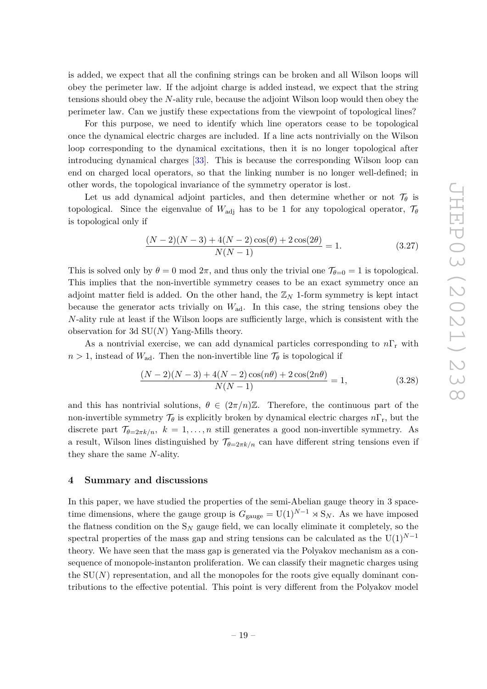is added, we expect that all the confining strings can be broken and all Wilson loops will obey the perimeter law. If the adjoint charge is added instead, we expect that the string tensions should obey the *N*-ality rule, because the adjoint Wilson loop would then obey the perimeter law. Can we justify these expectations from the viewpoint of topological lines?

For this purpose, we need to identify which line operators cease to be topological once the dynamical electric charges are included. If a line acts nontrivially on the Wilson loop corresponding to the dynamical excitations, then it is no longer topological after introducing dynamical charges [\[33\]](#page-30-12). This is because the corresponding Wilson loop can end on charged local operators, so that the linking number is no longer well-defined; in other words, the topological invariance of the symmetry operator is lost.

Let us add dynamical adjoint particles, and then determine whether or not  $\mathcal{T}_{\theta}$  is topological. Since the eigenvalue of  $W_{\text{adj}}$  has to be 1 for any topological operator,  $\mathcal{T}_{\theta}$ is topological only if

$$
\frac{(N-2)(N-3) + 4(N-2)\cos(\theta) + 2\cos(2\theta)}{N(N-1)} = 1.
$$
\n(3.27)

This is solved only by  $\theta = 0 \text{ mod } 2\pi$ , and thus only the trivial one  $\mathcal{T}_{\theta=0} = 1$  is topological. This implies that the non-invertible symmetry ceases to be an exact symmetry once an adjoint matter field is added. On the other hand, the  $\mathbb{Z}_N$  1-form symmetry is kept intact because the generator acts trivially on *W*ad. In this case, the string tensions obey the *N*-ality rule at least if the Wilson loops are sufficiently large, which is consistent with the observation for 3d SU(*N*) Yang-Mills theory.

As a nontrivial exercise, we can add dynamical particles corresponding to *n*Γ<sup>r</sup> with  $n > 1$ , instead of  $W_{ad}$ . Then the non-invertible line  $\mathcal{T}_{\theta}$  is topological if

$$
\frac{(N-2)(N-3) + 4(N-2)\cos(n\theta) + 2\cos(2n\theta)}{N(N-1)} = 1,
$$
\n(3.28)

and this has nontrivial solutions,  $\theta \in (2\pi/n)\mathbb{Z}$ . Therefore, the continuous part of the non-invertible symmetry  $\mathcal{T}_{\theta}$  is explicitly broken by dynamical electric charges  $n\Gamma_r$ , but the discrete part  $\mathcal{T}_{\theta=2\pi k/n}$ *, k* = 1*, ..., n* still generates a good non-invertible symmetry. As a result, Wilson lines distinguished by  $\mathcal{T}_{\theta=2\pi k/n}$  can have different string tensions even if they share the same *N*-ality.

## <span id="page-19-0"></span>**4 Summary and discussions**

In this paper, we have studied the properties of the semi-Abelian gauge theory in 3 spacetime dimensions, where the gauge group is  $G_{\text{gauge}} = U(1)^{N-1} \rtimes S_N$ . As we have imposed the flatness condition on the  $S_N$  gauge field, we can locally eliminate it completely, so the spectral properties of the mass gap and string tensions can be calculated as the  $U(1)^{N-1}$ theory. We have seen that the mass gap is generated via the Polyakov mechanism as a consequence of monopole-instanton proliferation. We can classify their magnetic charges using the  $SU(N)$  representation, and all the monopoles for the roots give equally dominant contributions to the effective potential. This point is very different from the Polyakov model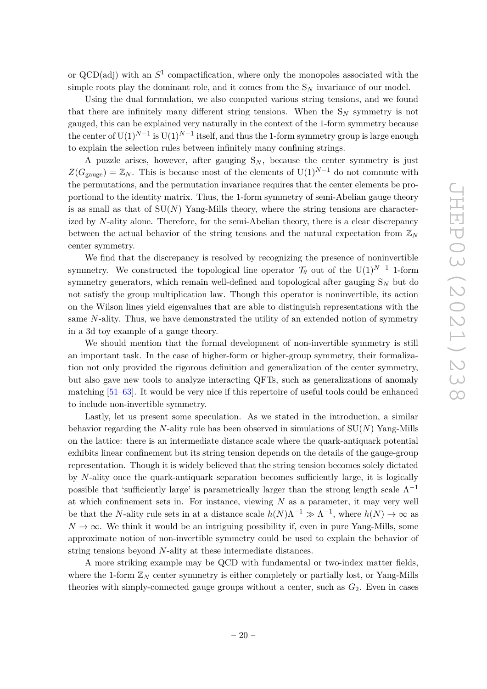or  $QCD(adj)$  with an  $S<sup>1</sup>$  compactification, where only the monopoles associated with the simple roots play the dominant role, and it comes from the  $S_N$  invariance of our model.

Using the dual formulation, we also computed various string tensions, and we found that there are infinitely many different string tensions. When the  $S_N$  symmetry is not gauged, this can be explained very naturally in the context of the 1-form symmetry because the center of  $\mathrm{U}(1)^{N-1}$  is  $\mathrm{U}(1)^{N-1}$  itself, and thus the 1-form symmetry group is large enough to explain the selection rules between infinitely many confining strings.

A puzzle arises, however, after gauging  $S_N$ , because the center symmetry is just  $Z(G_{\text{gauge}}) = \mathbb{Z}_N$ . This is because most of the elements of U(1)<sup>*N*−1</sup> do not commute with the permutations, and the permutation invariance requires that the center elements be proportional to the identity matrix. Thus, the 1-form symmetry of semi-Abelian gauge theory is as small as that of  $SU(N)$  Yang-Mills theory, where the string tensions are characterized by *N*-ality alone. Therefore, for the semi-Abelian theory, there is a clear discrepancy between the actual behavior of the string tensions and the natural expectation from Z*<sup>N</sup>* center symmetry.

We find that the discrepancy is resolved by recognizing the presence of noninvertible symmetry. We constructed the topological line operator  $\mathcal{T}_{\theta}$  out of the U(1)<sup>*N*−1</sup> 1-form symmetry generators, which remain well-defined and topological after gauging S*<sup>N</sup>* but do not satisfy the group multiplication law. Though this operator is noninvertible, its action on the Wilson lines yield eigenvalues that are able to distinguish representations with the same *N*-ality. Thus, we have demonstrated the utility of an extended notion of symmetry in a 3d toy example of a gauge theory.

We should mention that the formal development of non-invertible symmetry is still an important task. In the case of higher-form or higher-group symmetry, their formalization not only provided the rigorous definition and generalization of the center symmetry, but also gave new tools to analyze interacting QFTs, such as generalizations of anomaly matching [\[51–](#page-31-2)[63\]](#page-31-3). It would be very nice if this repertoire of useful tools could be enhanced to include non-invertible symmetry.

Lastly, let us present some speculation. As we stated in the introduction, a similar behavior regarding the *N*-ality rule has been observed in simulations of SU(*N*) Yang-Mills on the lattice: there is an intermediate distance scale where the quark-antiquark potential exhibits linear confinement but its string tension depends on the details of the gauge-group representation. Though it is widely believed that the string tension becomes solely dictated by *N*-ality once the quark-antiquark separation becomes sufficiently large, it is logically possible that 'sufficiently large' is parametrically larger than the strong length scale  $\Lambda^{-1}$ at which confinement sets in. For instance, viewing *N* as a parameter, it may very well be that the *N*-ality rule sets in at a distance scale  $h(N)\Lambda^{-1} \gg \Lambda^{-1}$ , where  $h(N) \to \infty$  as  $N \to \infty$ . We think it would be an intriguing possibility if, even in pure Yang-Mills, some approximate notion of non-invertible symmetry could be used to explain the behavior of string tensions beyond *N*-ality at these intermediate distances.

A more striking example may be QCD with fundamental or two-index matter fields, where the 1-form  $\mathbb{Z}_N$  center symmetry is either completely or partially lost, or Yang-Mills theories with simply-connected gauge groups without a center, such as  $G_2$ . Even in cases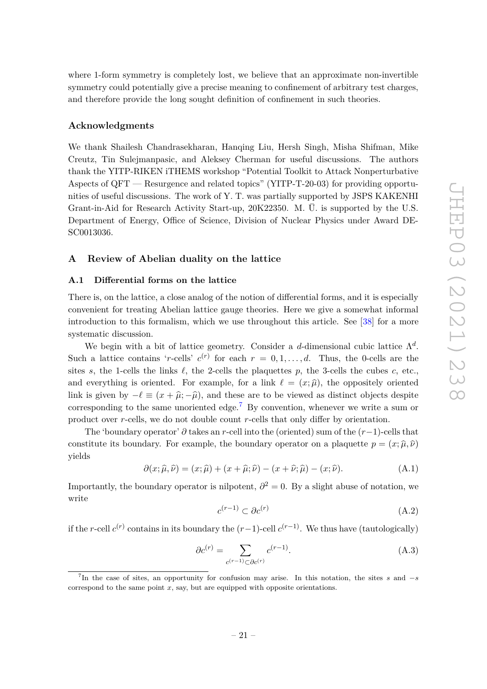where 1-form symmetry is completely lost, we believe that an approximate non-invertible symmetry could potentially give a precise meaning to confinement of arbitrary test charges, and therefore provide the long sought definition of confinement in such theories.

## **Acknowledgments**

We thank Shailesh Chandrasekharan, Hanqing Liu, Hersh Singh, Misha Shifman, Mike Creutz, Tin Sulejmanpasic, and Aleksey Cherman for useful discussions. The authors thank the YITP-RIKEN iTHEMS workshop "Potential Toolkit to Attack Nonperturbative Aspects of QFT — Resurgence and related topics" (YITP-T-20-03) for providing opportunities of useful discussions. The work of Y. T. was partially supported by JSPS KAKENHI Grant-in-Aid for Research Activity Start-up, 20K22350. M. Ü. is supported by the U.S. Department of Energy, Office of Science, Division of Nuclear Physics under Award DE-SC0013036.

## <span id="page-21-0"></span>**A Review of Abelian duality on the lattice**

## <span id="page-21-1"></span>**A.1 Differential forms on the lattice**

There is, on the lattice, a close analog of the notion of differential forms, and it is especially convenient for treating Abelian lattice gauge theories. Here we give a somewhat informal introduction to this formalism, which we use throughout this article. See [\[38\]](#page-30-3) for a more systematic discussion.

We begin with a bit of lattice geometry. Consider a *d*-dimensional cubic lattice  $\Lambda^d$ . Such a lattice contains '*r*-cells'  $c^{(r)}$  for each  $r = 0, 1, \ldots, d$ . Thus, the 0-cells are the sites *s*, the 1-cells the links  $\ell$ , the 2-cells the plaquettes *p*, the 3-cells the cubes *c*, etc., and everything is oriented. For example, for a link  $\ell = (x; \hat{\mu})$ , the oppositely oriented link is given by  $-\ell \equiv (x + \hat{\mu}; -\hat{\mu})$ , and these are to be viewed as distinct objects despite corresponding to the same unoriented edge.<sup>[7](#page-21-2)</sup> By convention, whenever we write a sum or product over *r*-cells, we do not double count *r*-cells that only differ by orientation.

The 'boundary operator' *∂* takes an *r*-cell into the (oriented) sum of the (*r*−1)-cells that constitute its boundary. For example, the boundary operator on a plaquette  $p = (x, \hat{\mu}, \hat{\nu})$ yields

$$
\partial(x;\hat{\mu},\hat{\nu}) = (x;\hat{\mu}) + (x+\hat{\mu};\hat{\nu}) - (x+\hat{\nu};\hat{\mu}) - (x;\hat{\nu}).
$$
\n(A.1)

Importantly, the boundary operator is nilpotent,  $\partial^2 = 0$ . By a slight abuse of notation, we write

$$
c^{(r-1)} \subset \partial c^{(r)} \tag{A.2}
$$

if the *r*-cell  $c^{(r)}$  contains in its boundary the  $(r-1)$ -cell  $c^{(r-1)}$ . We thus have (tautologically)

$$
\partial c^{(r)} = \sum_{c^{(r-1)} \subset \partial c^{(r)}} c^{(r-1)}.
$$
\n(A.3)

<span id="page-21-2"></span><sup>7</sup> In the case of sites, an opportunity for confusion may arise. In this notation, the sites *s* and −*s* correspond to the same point *x*, say, but are equipped with opposite orientations.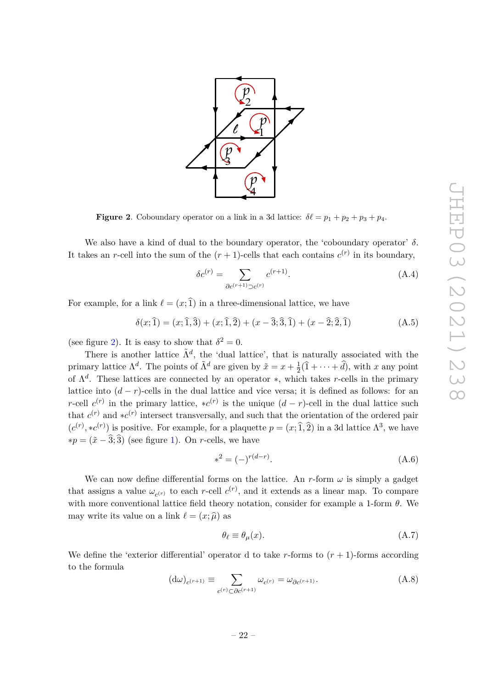

<span id="page-22-0"></span>**Figure 2**. Coboundary operator on a link in a 3d lattice:  $\delta \ell = p_1 + p_2 + p_3 + p_4$ .

We also have a kind of dual to the boundary operator, the 'coboundary operator' *δ*. It takes an *r*-cell into the sum of the  $(r + 1)$ -cells that each contains  $c^{(r)}$  in its boundary,

$$
\delta c^{(r)} = \sum_{\partial c^{(r+1)} \supset c^{(r)}} c^{(r+1)}.
$$
\n(A.4)

For example, for a link  $\ell = (x; \hat{1})$  in a three-dimensional lattice, we have

$$
\delta(x; \hat{1}) = (x; \hat{1}, \hat{3}) + (x; \hat{1}, \hat{2}) + (x - \hat{3}; \hat{3}, \hat{1}) + (x - \hat{2}; \hat{2}, \hat{1})
$$
(A.5)

(see figure [2\)](#page-22-0). It is easy to show that  $\delta^2 = 0$ .

There is another lattice  $\tilde{\Lambda}^d$ , the 'dual lattice', that is naturally associated with the primary lattice  $\Lambda^d$ . The points of  $\tilde{\Lambda}^d$  are given by  $\tilde{x} = x + \frac{1}{2}$  $\frac{1}{2}(1+\cdots+d)$ , with *x* any point of Λ *d* . These lattices are connected by an operator ∗, which takes *r*-cells in the primary lattice into  $(d - r)$ -cells in the dual lattice and vice versa; it is defined as follows: for an *r*-cell  $c^{(r)}$  in the primary lattice,  $\star c^{(r)}$  is the unique  $(d - r)$ -cell in the dual lattice such that  $c^{(r)}$  and  $\ast c^{(r)}$  intersect transversally, and such that the orientation of the ordered pair  $(c^{(r)}, *c^{(r)})$  is positive. For example, for a plaquette  $p = (x; \hat{1}, \hat{2})$  in a 3d lattice  $\Lambda^3$ , we have  $* p = (\tilde{x} - \hat{3}; \hat{3})$  (see figure [1\)](#page-10-1). On *r*-cells, we have

$$
*^2 = (-)^{r(d-r)}.
$$
\n(A.6)

We can now define differential forms on the lattice. An  $r$ -form  $\omega$  is simply a gadget that assigns a value  $\omega_{c^{(r)}}$  to each *r*-cell  $c^{(r)}$ , and it extends as a linear map. To compare with more conventional lattice field theory notation, consider for example a 1-form *θ*. We may write its value on a link  $\ell = (x; \hat{\mu})$  as

$$
\theta_{\ell} \equiv \theta_{\mu}(x). \tag{A.7}
$$

We define the 'exterior differential' operator d to take  $r$ -forms to  $(r + 1)$ -forms according to the formula

$$
(\mathrm{d}\omega)_{c^{(r+1)}} \equiv \sum_{c^{(r)} \subset \partial c^{(r+1)}} \omega_{c^{(r)}} = \omega_{\partial c^{(r+1)}}.
$$
\n(A.8)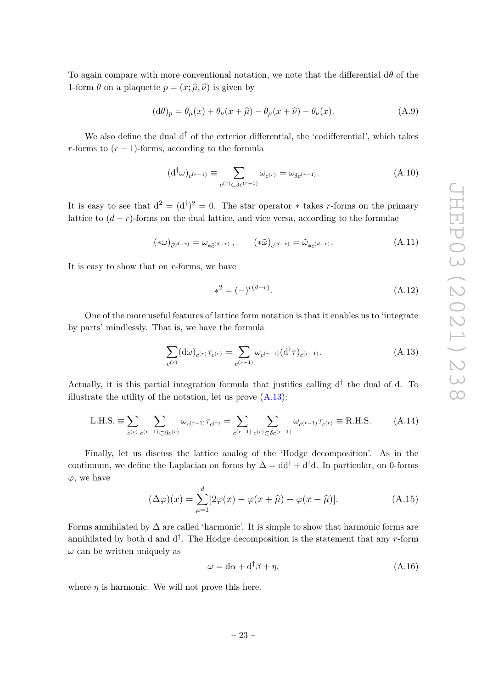To again compare with more conventional notation, we note that the differential d*θ* of the 1-form  $\theta$  on a plaquette  $p = (x; \hat{\mu}, \hat{\nu})$  is given by

$$
(\mathrm{d}\theta)_p = \theta_\mu(x) + \theta_\nu(x+\hat{\mu}) - \theta_\mu(x+\hat{\nu}) - \theta_\nu(x). \tag{A.9}
$$

We also define the dual  $d^{\dagger}$  of the exterior differential, the 'codifferential', which takes *r*-forms to  $(r-1)$ -forms, according to the formula

$$
(\mathrm{d}^\dagger \omega)_{c^{(r-1)}} \equiv \sum_{c^{(r)} \subset \delta c^{(r-1)}} \omega_{c^{(r)}} = \omega_{\delta c^{(r-1)}}.
$$
\n(A.10)

It is easy to see that  $d^2 = (d^{\dagger})^2 = 0$ . The star operator \* takes *r*-forms on the primary lattice to  $(d - r)$ -forms on the dual lattice, and vice versa, according to the formulae

$$
(*\omega)_{\tilde{c}^{(d-r)}} = \omega_{*\tilde{c}^{(d-r)}}, \qquad (*\tilde{\omega})_{c^{(d-r)}} = \tilde{\omega}_{*c^{(d-r)}}.
$$
\n(A.11)

It is easy to show that on *r*-forms, we have

$$
*^2 = (-)^{r(d-r)}.
$$
\n(A.12)

One of the more useful features of lattice form notation is that it enables us to 'integrate by parts' mindlessly. That is, we have the formula

<span id="page-23-0"></span>
$$
\sum_{c^{(r)}} (\mathbf{d}\omega)_{c^{(r)}} \tau_{c^{(r)}} = \sum_{c^{(r-1)}} \omega_{c^{(r-1)}} (\mathbf{d}^\dagger \tau)_{c^{(r-1)}}.
$$
\n(A.13)

Actually, it is this partial integration formula that justifies calling  $d^{\dagger}$  the dual of d. To illustrate the utility of the notation, let us prove  $(A.13)$ :

L.H.S. 
$$
\equiv \sum_{c^{(r)}} \sum_{c^{(r-1)} \subset \partial c^{(r)}} \omega_{c^{(r-1)}} \tau_{c^{(r)}} = \sum_{c^{(r-1)}} \sum_{c^{(r)} \subset \delta c^{(r-1)}} \omega_{c^{(r-1)}} \tau_{c^{(r)}} \equiv \text{R.H.S.}
$$
 (A.14)

Finally, let us discuss the lattice analog of the 'Hodge decomposition'. As in the continuum, we define the Laplacian on forms by  $\Delta = dd^{\dagger} + d^{\dagger}d$ . In particular, on 0-forms *ϕ*, we have

$$
(\Delta \varphi)(x) = \sum_{\mu=1}^{d} [2\varphi(x) - \varphi(x + \widehat{\mu}) - \varphi(x - \widehat{\mu})].
$$
 (A.15)

Forms annihilated by  $\Delta$  are called 'harmonic'. It is simple to show that harmonic forms are annihilated by both d and  $d^{\dagger}$ . The Hodge decomposition is the statement that any *r*-form  $\omega$  can be written uniquely as

$$
\omega = d\alpha + d^{\dagger}\beta + \eta,\tag{A.16}
$$

where  $\eta$  is harmonic. We will not prove this here.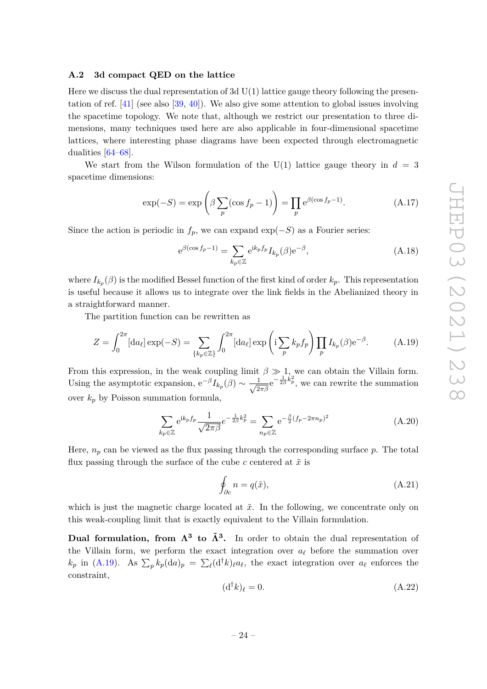#### <span id="page-24-0"></span>**A.2 3d compact QED on the lattice**

Here we discuss the dual representation of 3d  $U(1)$  lattice gauge theory following the presentation of ref. [\[41\]](#page-30-5) (see also [\[39,](#page-30-4) [40\]](#page-30-13)). We also give some attention to global issues involving the spacetime topology. We note that, although we restrict our presentation to three dimensions, many techniques used here are also applicable in four-dimensional spacetime lattices, where interesting phase diagrams have been expected through electromagnetic dualities [\[64](#page-31-4)[–68\]](#page-31-5).

We start from the Wilson formulation of the U(1) lattice gauge theory in  $d = 3$ spacetime dimensions:

$$
\exp(-S) = \exp\left(\beta \sum_{p} (\cos f_p - 1)\right) = \prod_{p} e^{\beta(\cos f_p - 1)}.
$$
 (A.17)

Since the action is periodic in  $f_p$ , we can expand  $\exp(-S)$  as a Fourier series:

<span id="page-24-3"></span>
$$
e^{\beta(\cos f_p - 1)} = \sum_{k_p \in \mathbb{Z}} e^{ik_p f_p} I_{k_p}(\beta) e^{-\beta}, \tag{A.18}
$$

where  $I_{k_p}(\beta)$  is the modified Bessel function of the first kind of order  $k_p$ . This representation is useful because it allows us to integrate over the link fields in the Abelianized theory in a straightforward manner.

The partition function can be rewritten as

<span id="page-24-1"></span>
$$
Z = \int_0^{2\pi} [\mathrm{d}a_\ell] \exp(-S) = \sum_{\{k_p \in \mathbb{Z}\}} \int_0^{2\pi} [\mathrm{d}a_\ell] \exp\left(i \sum_p k_p f_p\right) \prod_p I_{k_p}(\beta) e^{-\beta}.
$$
 (A.19)

From this expression, in the weak coupling limit  $\beta \gg 1$ , we can obtain the Villain form. Using the asymptotic expansion,  $e^{-\beta} I_{k_p}(\beta) \sim \frac{1}{\sqrt{2}}$  $\frac{1}{2\pi\beta}e^{-\frac{1}{2\beta}\vec{k}_p^2}$ , we can rewrite the summation over  $k_p$  by Poisson summation formula,

<span id="page-24-4"></span>
$$
\sum_{k_p \in \mathbb{Z}} e^{ik_p f_p} \frac{1}{\sqrt{2\pi\beta}} e^{-\frac{1}{2\beta}k_p^2} = \sum_{n_p \in \mathbb{Z}} e^{-\frac{\beta}{2}(f_p - 2\pi n_p)^2}
$$
(A.20)

Here,  $n_p$  can be viewed as the flux passing through the corresponding surface  $p$ . The total flux passing through the surface of the cube  $c$  centered at  $\tilde{x}$  is

$$
\oint_{\partial c} n = q(\tilde{x}),\tag{A.21}
$$

which is just the magnetic charge located at  $\tilde{x}$ . In the following, we concentrate only on this weak-coupling limit that is exactly equivalent to the Villain formulation.

**Dual formulation, from Λ<sup>3</sup> to Λ˜ <sup>3</sup> .** In order to obtain the dual representation of the Villain form, we perform the exact integration over  $a_{\ell}$  before the summation over  $k_p$  in [\(A.19\)](#page-24-1). As  $\sum_p k_p(\text{d}a)_p = \sum_{\ell} (\text{d}^\dagger k)_\ell a_\ell$ , the exact integration over  $a_\ell$  enforces the constraint,

<span id="page-24-2"></span>
$$
(\mathrm{d}^\dagger k)_\ell = 0. \tag{A.22}
$$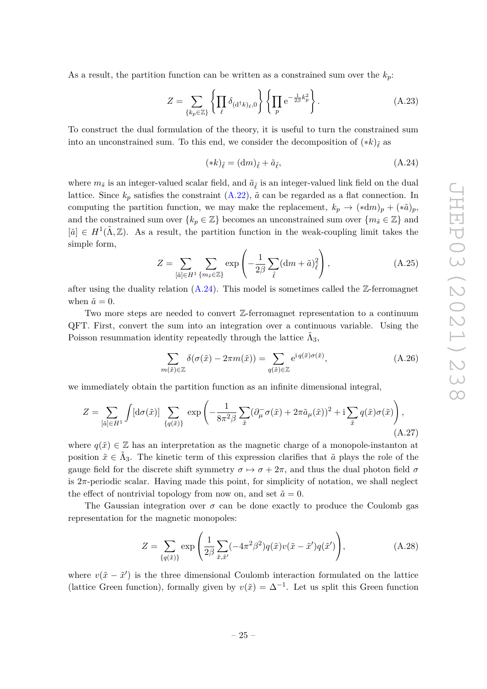As a result, the partition function can be written as a constrained sum over the  $k_p$ :

$$
Z = \sum_{\{k_p \in \mathbb{Z}\}} \left\{ \prod_{\ell} \delta_{(\mathbf{d}^\dagger k)_{\ell},0} \right\} \left\{ \prod_p e^{-\frac{1}{2\beta} k_p^2} \right\}.
$$
 (A.23)

To construct the dual formulation of the theory, it is useful to turn the constrained sum into an unconstrained sum. To this end, we consider the decomposition of  $(*k)_{\tilde{\ell}}$  as

<span id="page-25-0"></span>
$$
(*k)_{\tilde{\ell}} = (dm)_{\tilde{\ell}} + \tilde{a}_{\tilde{\ell}}, \tag{A.24}
$$

where  $m_{\tilde{s}}$  is an integer-valued scalar field, and  $\tilde{a}_{\tilde{\ell}}$  is an integer-valued link field on the dual lattice. Since  $k_p$  satisfies the constraint  $(A.22)$ ,  $\tilde{a}$  can be regarded as a flat connection. In computing the partition function, we may make the replacement,  $k_p \rightarrow (*dm)_p + (*\tilde{a})_p$ and the constrained sum over  $\{k_p \in \mathbb{Z}\}$  becomes an unconstrained sum over  $\{m_{\tilde{s}} \in \mathbb{Z}\}$  and  $[\tilde{a}] \in H^1(\tilde{\Lambda}, \mathbb{Z})$ . As a result, the partition function in the weak-coupling limit takes the simple form,

$$
Z = \sum_{\left[\tilde{a}\right] \in H^1} \sum_{\left\{m_{\tilde{s}} \in \mathbb{Z}\right\}} \exp\left(-\frac{1}{2\beta} \sum_{\tilde{\ell}} \left(\mathrm{d}m + \tilde{a}\right)^2_{\tilde{\ell}}\right),\tag{A.25}
$$

after using the duality relation  $(A.24)$ . This model is sometimes called the Z-ferromagnet when  $\tilde{a}=0$ .

Two more steps are needed to convert Z-ferromagnet representation to a continuum QFT. First, convert the sum into an integration over a continuous variable. Using the Poisson resummation identity repeatedly through the lattice  $\tilde{\Lambda}_3$ ,

$$
\sum_{m(\tilde{x}) \in \mathbb{Z}} \delta(\sigma(\tilde{x}) - 2\pi m(\tilde{x})) = \sum_{q(\tilde{x}) \in \mathbb{Z}} e^{iq(\tilde{x})\sigma(\tilde{x})},\tag{A.26}
$$

we immediately obtain the partition function as an infinite dimensional integral,

$$
Z = \sum_{[\tilde{a}]\in H^1} \int [\mathrm{d}\sigma(\tilde{x})] \sum_{\{q(\tilde{x})\}} \exp\left(-\frac{1}{8\pi^2 \beta} \sum_{\tilde{x}} (\partial^-_{\mu} \sigma(\tilde{x}) + 2\pi \tilde{a}_{\mu}(\tilde{x}))^2 + i \sum_{\tilde{x}} q(\tilde{x}) \sigma(\tilde{x})\right),\tag{A.27}
$$

where  $q(\tilde{x}) \in \mathbb{Z}$  has an interpretation as the magnetic charge of a monopole-instanton at position  $\tilde{x} \in \tilde{\Lambda}_3$ . The kinetic term of this expression clarifies that  $\tilde{a}$  plays the role of the gauge field for the discrete shift symmetry  $\sigma \mapsto \sigma + 2\pi$ , and thus the dual photon field  $\sigma$ is  $2\pi$ -periodic scalar. Having made this point, for simplicity of notation, we shall neglect the effect of nontrivial topology from now on, and set  $\tilde{a} = 0$ .

The Gaussian integration over  $\sigma$  can be done exactly to produce the Coulomb gas representation for the magnetic monopoles:

$$
Z = \sum_{\{q(\tilde{x})\}} \exp\left(\frac{1}{2\beta} \sum_{\tilde{x}, \tilde{x}'} (-4\pi^2 \beta^2) q(\tilde{x}) v(\tilde{x} - \tilde{x}') q(\tilde{x}')\right),\tag{A.28}
$$

where  $v(\tilde{x} - \tilde{x}')$  is the three dimensional Coulomb interaction formulated on the lattice (lattice Green function), formally given by  $v(\tilde{x}) = \Delta^{-1}$ . Let us split this Green function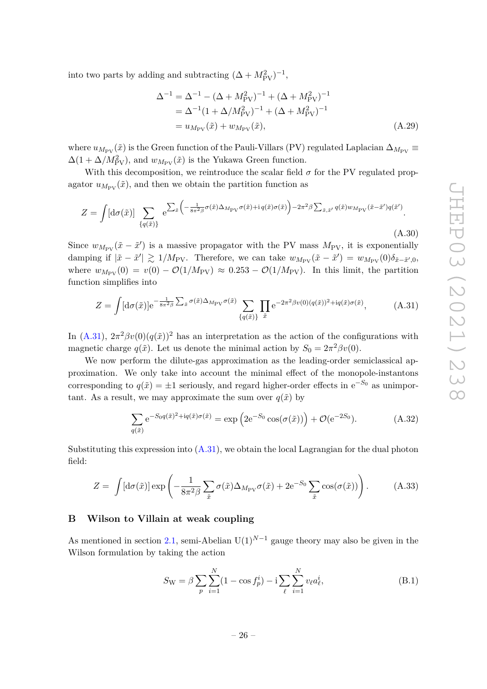into two parts by adding and subtracting  $(\Delta + M_{\text{PV}}^2)^{-1}$ ,

$$
\Delta^{-1} = \Delta^{-1} - (\Delta + M_{\text{PV}}^2)^{-1} + (\Delta + M_{\text{PV}}^2)^{-1}
$$
  
=  $\Delta^{-1} (1 + \Delta/M_{\text{PV}}^2)^{-1} + (\Delta + M_{\text{PV}}^2)^{-1}$   
=  $u_{M_{\text{PV}}}(\tilde{x}) + w_{M_{\text{PV}}}(\tilde{x}),$  (A.29)

where  $u_{M_{\text{PV}}}(\tilde{x})$  is the Green function of the Pauli-Villars (PV) regulated Laplacian  $\Delta_{M_{\text{PV}}}$  $\Delta(1 + \Delta/M_{\text{PV}}^2)$ , and  $w_{M_{\text{PV}}}(\tilde{x})$  is the Yukawa Green function.

With this decomposition, we reintroduce the scalar field  $\sigma$  for the PV regulated propagator  $u_{M_{\text{PV}}}(\tilde{x})$ , and then we obtain the partition function as

$$
Z = \int [d\sigma(\tilde{x})] \sum_{\{q(\tilde{x})\}} e^{\sum_{\tilde{x}} \left( -\frac{1}{8\pi^2 \beta} \sigma(\tilde{x}) \Delta_{M_{\rm PV}} \sigma(\tilde{x}) + i q(\tilde{x}) \sigma(\tilde{x}) \right) - 2\pi^2 \beta \sum_{\tilde{x}, \tilde{x}'} q(\tilde{x}) w_{M_{\rm PV}} (\tilde{x} - \tilde{x}') q(\tilde{x}')}.
$$
\n(A.30)

Since  $w_{M_{\text{PV}}}(\tilde{x} - \tilde{x}')$  is a massive propagator with the PV mass  $M_{\text{PV}}$ , it is exponentially damping if  $|\tilde{x} - \tilde{x}'| \gtrsim 1/M_{\text{PV}}$ . Therefore, we can take  $w_{M_{\text{PV}}}(\tilde{x} - \tilde{x}') = w_{M_{\text{PV}}}(0)\delta_{\tilde{x} - \tilde{x}',0}$ where  $w_{M_{\text{PV}}}(0) = v(0) - \mathcal{O}(1/M_{\text{PV}}) \approx 0.253 - \mathcal{O}(1/M_{\text{PV}})$ . In this limit, the partition function simplifies into

<span id="page-26-1"></span>
$$
Z = \int [\mathrm{d}\sigma(\tilde{x})] e^{-\frac{1}{8\pi^2 \beta} \sum_{\tilde{x}} \sigma(\tilde{x}) \Delta_{M_{\text{PV}}} \sigma(\tilde{x})} \sum_{\{q(\tilde{x})\}} \prod_{\tilde{x}} e^{-2\pi^2 \beta v(0)(q(\tilde{x}))^2 + iq(\tilde{x}) \sigma(\tilde{x})}, \tag{A.31}
$$

In [\(A.31\)](#page-26-1),  $2\pi^2 \beta v(0) (q(\tilde{x}))^2$  has an interpretation as the action of the configurations with magnetic charge  $q(\tilde{x})$ . Let us denote the minimal action by  $S_0 = 2\pi^2 \beta v(0)$ .

We now perform the dilute-gas approximation as the leading-order semiclassical approximation. We only take into account the minimal effect of the monopole-instantons corresponding to  $q(\tilde{x}) = \pm 1$  seriously, and regard higher-order effects in  $e^{-S_0}$  as unimportant. As a result, we may approximate the sum over  $q(\tilde{x})$  by

$$
\sum_{q(\tilde{x})} e^{-S_0 q(\tilde{x})^2 + iq(\tilde{x})\sigma(\tilde{x})} = \exp\left(2e^{-S_0}\cos(\sigma(\tilde{x}))\right) + \mathcal{O}(e^{-2S_0}).\tag{A.32}
$$

Substituting this expression into  $(A.31)$ , we obtain the local Lagrangian for the dual photon field:

$$
Z = \int [\mathrm{d}\sigma(\tilde{x})] \exp\left(-\frac{1}{8\pi^2 \beta} \sum_{\tilde{x}} \sigma(\tilde{x}) \Delta_{M_{\text{PV}}} \sigma(\tilde{x}) + 2e^{-S_0} \sum_{\tilde{x}} \cos(\sigma(\tilde{x}))\right). \tag{A.33}
$$

## <span id="page-26-0"></span>**B Wilson to Villain at weak coupling**

As mentioned in section [2.1,](#page-4-1) semi-Abelian  $U(1)^{N-1}$  gauge theory may also be given in the Wilson formulation by taking the action

$$
S_{\rm W} = \beta \sum_{p} \sum_{i=1}^{N} (1 - \cos f_p^i) - i \sum_{\ell} \sum_{i=1}^{N} v_{\ell} a_{\ell}^i,
$$
 (B.1)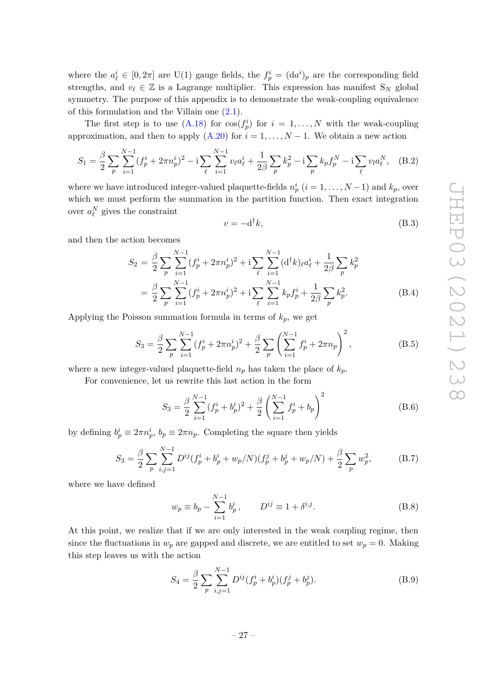where the  $a^i_\ell \in [0, 2\pi]$  are U(1) gauge fields, the  $f^i_p = (da^i)_p$  are the corresponding field strengths, and  $v_\ell \in \mathbb{Z}$  is a Lagrange multiplier. This expression has manifest S<sub>N</sub> global symmetry. The purpose of this appendix is to demonstrate the weak-coupling equivalence of this formulation and the Villain one [\(2.1\)](#page-4-4).

The first step is to use  $(A.18)$  for  $cos(f_p^i)$  for  $i = 1, ..., N$  with the weak-coupling approximation, and then to apply  $(A.20)$  for  $i = 1, ..., N - 1$ . We obtain a new action

$$
S_1 = \frac{\beta}{2} \sum_{p} \sum_{i=1}^{N-1} (f_p^i + 2\pi n_p^i)^2 - i \sum_{\ell} \sum_{i=1}^{N-1} v_\ell a_\ell^i + \frac{1}{2\beta} \sum_{p} k_p^2 - i \sum_{p} k_p f_p^N - i \sum_{\ell} v_\ell a_\ell^N, \quad (B.2)
$$

where we have introduced integer-valued plaquette-fields  $n_p^i$   $(i = 1, \ldots, N-1)$  and  $k_p$ , over which we must perform the summation in the partition function. Then exact integration over  $a_{\ell}^N$  gives the constraint

$$
v = -\mathbf{d}^\dagger k,\tag{B.3}
$$

and then the action becomes

$$
S_2 = \frac{\beta}{2} \sum_{p} \sum_{i=1}^{N-1} (f_p^i + 2\pi n_p^i)^2 + i \sum_{\ell} \sum_{i=1}^{N-1} (d^\dagger k)_\ell a_\ell^i + \frac{1}{2\beta} \sum_{p} k_p^2
$$
  
= 
$$
\frac{\beta}{2} \sum_{p} \sum_{i=1}^{N-1} (f_p^i + 2\pi n_p^i)^2 + i \sum_{\ell} \sum_{i=1}^{N-1} k_p f_p^i + \frac{1}{2\beta} \sum_{p} k_p^2.
$$
 (B.4)

Applying the Poisson summation formula in terms of *kp*, we get

$$
S_3 = \frac{\beta}{2} \sum_{p} \sum_{i=1}^{N-1} (f_p^i + 2\pi n_p^i)^2 + \frac{\beta}{2} \sum_{p} \left( \sum_{i=1}^{N-1} f_p^i + 2\pi n_p \right)^2, \tag{B.5}
$$

where a new integer-valued plaquette-field  $n_p$  has taken the place of  $k_p$ .

For convenience, let us rewrite this last action in the form

$$
S_3 = \frac{\beta}{2} \sum_{i=1}^{N-1} (f_p^i + b_p^i)^2 + \frac{\beta}{2} \left( \sum_{i=1}^{N-1} f_p^i + b_p \right)^2
$$
 (B.6)

by defining  $b_p^i \equiv 2\pi n_p^i$ ,  $b_p \equiv 2\pi n_p$ . Completing the square then yields

$$
S_3 = \frac{\beta}{2} \sum_{p} \sum_{i,j=1}^{N-1} D^{ij} (f_p^i + b_p^i + w_p/N)(f_p^j + b_p^j + w_p/N) + \frac{\beta}{2} \sum_{p} w_p^2,
$$
 (B.7)

where we have defined

$$
w_p \equiv b_p - \sum_{i=1}^{N-1} b_p^i, \qquad D^{ij} \equiv 1 + \delta^{i,j}.
$$
 (B.8)

At this point, we realize that if we are only interested in the weak coupling regime, then since the fluctuations in  $w_p$  are gapped and discrete, we are entitled to set  $w_p = 0$ . Making this step leaves us with the action

$$
S_4 = \frac{\beta}{2} \sum_{p} \sum_{i,j=1}^{N-1} D^{ij} (f_p^i + b_p^i)(f_p^j + b_p^j).
$$
 (B.9)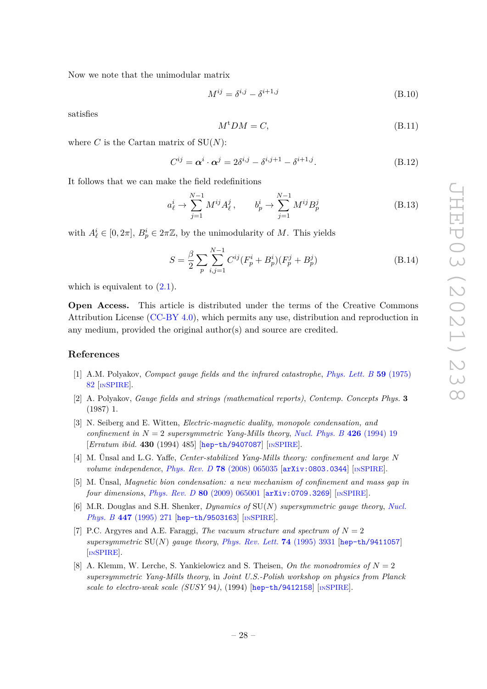Now we note that the unimodular matrix

$$
M^{ij} = \delta^{i,j} - \delta^{i+1,j} \tag{B.10}
$$

satisfies

$$
M^{\dagger}DM = C,\tag{B.11}
$$

where  $C$  is the Cartan matrix of  $SU(N)$ :

$$
C^{ij} = \alpha^i \cdot \alpha^j = 2\delta^{i,j} - \delta^{i,j+1} - \delta^{i+1,j}.
$$
 (B.12)

It follows that we can make the field redefinitions

$$
a_{\ell}^{i} \to \sum_{j=1}^{N-1} M^{ij} A_{\ell}^{j}, \qquad b_{p}^{i} \to \sum_{j=1}^{N-1} M^{ij} B_{p}^{j}
$$
 (B.13)

with  $A^i_\ell \in [0, 2\pi]$ ,  $B^i_p \in 2\pi\mathbb{Z}$ , by the unimodularity of *M*. This yields

$$
S = \frac{\beta}{2} \sum_{p} \sum_{i,j=1}^{N-1} C^{ij} (F_p^i + B_p^i)(F_p^j + B_p^j)
$$
 (B.14)

which is equivalent to  $(2.1)$ .

**Open Access.** This article is distributed under the terms of the Creative Commons Attribution License [\(CC-BY 4.0\)](https://creativecommons.org/licenses/by/4.0/), which permits any use, distribution and reproduction in any medium, provided the original author(s) and source are credited.

# **References**

- <span id="page-28-0"></span>[1] A.M. Polyakov, *Compact gauge fields and the infrared catastrophe*, *[Phys. Lett. B](https://doi.org/10.1016/0370-2693(75)90162-8)* **59** (1975) [82](https://doi.org/10.1016/0370-2693(75)90162-8) [IN[SPIRE](https://inspirehep.net/search?p=find+J%20%22Phys.Lett.%2CB59%2C82%22)].
- <span id="page-28-1"></span>[2] A. Polyakov, *Gauge fields and strings (mathematical reports)*, *Contemp. Concepts Phys.* **3** (1987) 1.
- <span id="page-28-2"></span>[3] N. Seiberg and E. Witten, *Electric-magnetic duality, monopole condensation, and confinement in*  $N = 2$  *supersymmetric Yang-Mills theory, [Nucl. Phys. B](https://doi.org/10.1016/0550-3213(94)90124-4)* 426 (1994) 19 [*Erratum ibid.* **430** (1994) 485] [[hep-th/9407087](https://arxiv.org/abs/hep-th/9407087)] [IN[SPIRE](https://inspirehep.net/search?p=find+EPRINT%2Bhep-th%2F9407087)].
- <span id="page-28-3"></span>[4] M. Ünsal and L.G. Yaffe, *Center-stabilized Yang-Mills theory: confinement and large N volume independence*, *Phys. Rev. D* **78** [\(2008\) 065035](https://doi.org/10.1103/PhysRevD.78.065035) [[arXiv:0803.0344](https://arxiv.org/abs/0803.0344)] [IN[SPIRE](https://inspirehep.net/search?p=find+EPRINT%2BarXiv%3A0803.0344)].
- <span id="page-28-4"></span>[5] M. Ünsal, *Magnetic bion condensation: a new mechanism of confinement and mass gap in four dimensions*, *Phys. Rev. D* **80** [\(2009\) 065001](https://doi.org/10.1103/PhysRevD.80.065001) [[arXiv:0709.3269](https://arxiv.org/abs/0709.3269)] [IN[SPIRE](https://inspirehep.net/search?p=find+EPRINT%2BarXiv%3A0709.3269)].
- <span id="page-28-5"></span>[6] M.R. Douglas and S.H. Shenker, *Dynamics of* SU(*N*) *supersymmetric gauge theory*, *[Nucl.](https://doi.org/10.1016/0550-3213(95)00258-T) Phys. B* **447** [\(1995\) 271](https://doi.org/10.1016/0550-3213(95)00258-T) [[hep-th/9503163](https://arxiv.org/abs/hep-th/9503163)] [IN[SPIRE](https://inspirehep.net/search?p=find+EPRINT%2Bhep-th%2F9503163)].
- [7] P.C. Argyres and A.E. Faraggi, *The vacuum structure and spectrum of*  $N = 2$ *supersymmetric* SU(*N*) *gauge theory*, *[Phys. Rev. Lett.](https://doi.org/10.1103/PhysRevLett.74.3931)* **74** (1995) 3931 [[hep-th/9411057](https://arxiv.org/abs/hep-th/9411057)] [IN[SPIRE](https://inspirehep.net/search?p=find+EPRINT%2Bhep-th%2F9411057)].
- <span id="page-28-6"></span>[8] A. Klemm, W. Lerche, S. Yankielowicz and S. Theisen, *On the monodromies of N* = 2 *supersymmetric Yang-Mills theory*, in *Joint U.S.-Polish workshop on physics from Planck scale to electro-weak scale (SUSY* 94*)*, (1994) [[hep-th/9412158](https://arxiv.org/abs/hep-th/9412158)] [IN[SPIRE](https://inspirehep.net/search?p=find+EPRINT%2Bhep-th%2F9412158)].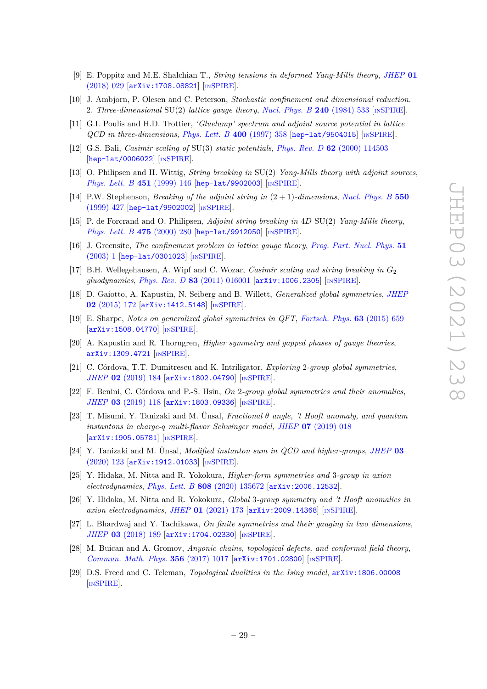- <span id="page-29-0"></span>[9] E. Poppitz and M.E. Shalchian T., *String tensions in deformed Yang-Mills theory*, *[JHEP](https://doi.org/10.1007/JHEP01(2018)029)* **01** [\(2018\) 029](https://doi.org/10.1007/JHEP01(2018)029) [[arXiv:1708.08821](https://arxiv.org/abs/1708.08821)] [IN[SPIRE](https://inspirehep.net/search?p=find+EPRINT%2BarXiv%3A1708.08821)].
- <span id="page-29-1"></span>[10] J. Ambjorn, P. Olesen and C. Peterson, *Stochastic confinement and dimensional reduction.* 2*. Three-dimensional* SU(2) *lattice gauge theory*, *[Nucl. Phys. B](https://doi.org/10.1016/0550-3213(84)90242-6)* **240** (1984) 533 [IN[SPIRE](https://inspirehep.net/search?p=find+J%20%22Nucl.Phys.%2CB240%2C533%22)].
- [11] G.I. Poulis and H.D. Trottier, *'Gluelump' spectrum and adjoint source potential in lattice QCD in three-dimensions*, *[Phys. Lett. B](https://doi.org/10.1016/S0370-2693(97)88182-8)* **400** (1997) 358 [[hep-lat/9504015](https://arxiv.org/abs/hep-lat/9504015)] [IN[SPIRE](https://inspirehep.net/search?p=find+EPRINT%2Bhep-lat%2F9504015)].
- [12] G.S. Bali, *Casimir scaling of* SU(3) *static potentials*, *Phys. Rev. D* **62** [\(2000\) 114503](https://doi.org/10.1103/PhysRevD.62.114503) [[hep-lat/0006022](https://arxiv.org/abs/hep-lat/0006022)] [IN[SPIRE](https://inspirehep.net/search?p=find+EPRINT%2Bhep-lat%2F0006022)].
- [13] O. Philipsen and H. Wittig, *String breaking in* SU(2) *Yang-Mills theory with adjoint sources*, *[Phys. Lett. B](https://doi.org/10.1016/S0370-2693(99)00183-5)* **451** (1999) 146 [[hep-lat/9902003](https://arxiv.org/abs/hep-lat/9902003)] [IN[SPIRE](https://inspirehep.net/search?p=find+EPRINT%2Bhep-lat%2F9902003)].
- [14] P.W. Stephenson, *Breaking of the adjoint string in* (2 + 1)*-dimensions*, *[Nucl. Phys. B](https://doi.org/10.1016/S0550-3213(99)00210-2)* **550** [\(1999\) 427](https://doi.org/10.1016/S0550-3213(99)00210-2) [[hep-lat/9902002](https://arxiv.org/abs/hep-lat/9902002)] [IN[SPIRE](https://inspirehep.net/search?p=find+EPRINT%2Bhep-lat%2F9902002)].
- [15] P. de Forcrand and O. Philipsen, *Adjoint string breaking in* 4*D* SU(2) *Yang-Mills theory*, *[Phys. Lett. B](https://doi.org/10.1016/S0370-2693(00)00117-9)* **475** (2000) 280 [[hep-lat/9912050](https://arxiv.org/abs/hep-lat/9912050)] [IN[SPIRE](https://inspirehep.net/search?p=find+EPRINT%2Bhep-lat%2F9912050)].
- [16] J. Greensite, *The confinement problem in lattice gauge theory*, *[Prog. Part. Nucl. Phys.](https://doi.org/10.1016/S0146-6410(03)90012-3)* **51** [\(2003\) 1](https://doi.org/10.1016/S0146-6410(03)90012-3) [[hep-lat/0301023](https://arxiv.org/abs/hep-lat/0301023)] [IN[SPIRE](https://inspirehep.net/search?p=find+EPRINT%2Bhep-lat%2F0301023)].
- <span id="page-29-2"></span>[17] B.H. Wellegehausen, A. Wipf and C. Wozar, *Casimir scaling and string breaking in G*<sup>2</sup> *gluodynamics*, *Phys. Rev. D* **83** [\(2011\) 016001](https://doi.org/10.1103/PhysRevD.83.016001) [[arXiv:1006.2305](https://arxiv.org/abs/1006.2305)] [IN[SPIRE](https://inspirehep.net/search?p=find+EPRINT%2BarXiv%3A1006.2305)].
- <span id="page-29-3"></span>[18] D. Gaiotto, A. Kapustin, N. Seiberg and B. Willett, *Generalized global symmetries*, *[JHEP](https://doi.org/10.1007/JHEP02(2015)172)* **02** [\(2015\) 172](https://doi.org/10.1007/JHEP02(2015)172) [[arXiv:1412.5148](https://arxiv.org/abs/1412.5148)] [IN[SPIRE](https://inspirehep.net/search?p=find+EPRINT%2BarXiv%3A1412.5148)].
- <span id="page-29-4"></span>[19] E. Sharpe, *Notes on generalized global symmetries in QFT*, *[Fortsch. Phys.](https://doi.org/10.1002/prop.201500048)* **63** (2015) 659 [[arXiv:1508.04770](https://arxiv.org/abs/1508.04770)] [IN[SPIRE](https://inspirehep.net/search?p=find+EPRINT%2BarXiv%3A1508.04770)].
- [20] A. Kapustin and R. Thorngren, *Higher symmetry and gapped phases of gauge theories*, [arXiv:1309.4721](https://arxiv.org/abs/1309.4721) [IN[SPIRE](https://inspirehep.net/search?p=find+EPRINT%2BarXiv%3A1309.4721)].
- [21] C. Córdova, T.T. Dumitrescu and K. Intriligator, *Exploring* 2*-group global symmetries*, *JHEP* **02** [\(2019\) 184](https://doi.org/10.1007/JHEP02(2019)184) [[arXiv:1802.04790](https://arxiv.org/abs/1802.04790)] [IN[SPIRE](https://inspirehep.net/search?p=find+EPRINT%2BarXiv%3A1802.04790)].
- [22] F. Benini, C. Córdova and P.-S. Hsin, *On* 2*-group global symmetries and their anomalies*, *JHEP* **03** [\(2019\) 118](https://doi.org/10.1007/JHEP03(2019)118) [[arXiv:1803.09336](https://arxiv.org/abs/1803.09336)] [IN[SPIRE](https://inspirehep.net/search?p=find+EPRINT%2BarXiv%3A1803.09336)].
- [23] T. Misumi, Y. Tanizaki and M. Ünsal, *Fractional θ angle, 't Hooft anomaly, and quantum instantons in charge-q multi-flavor Schwinger model*, *JHEP* **07** [\(2019\) 018](https://doi.org/10.1007/JHEP07(2019)018) [[arXiv:1905.05781](https://arxiv.org/abs/1905.05781)] [IN[SPIRE](https://inspirehep.net/search?p=find+EPRINT%2BarXiv%3A1905.05781)].
- [24] Y. Tanizaki and M. Ünsal, *Modified instanton sum in QCD and higher-groups*, *[JHEP](https://doi.org/10.1007/JHEP03(2020)123)* **03** [\(2020\) 123](https://doi.org/10.1007/JHEP03(2020)123) [[arXiv:1912.01033](https://arxiv.org/abs/1912.01033)] [IN[SPIRE](https://inspirehep.net/search?p=find+EPRINT%2BarXiv%3A1912.01033)].
- [25] Y. Hidaka, M. Nitta and R. Yokokura, *Higher-form symmetries and* 3*-group in axion electrodynamics*, *Phys. Lett. B* **808** [\(2020\) 135672](https://doi.org/10.1016/j.physletb.2020.135672) [[arXiv:2006.12532](https://arxiv.org/abs/2006.12532)].
- <span id="page-29-5"></span>[26] Y. Hidaka, M. Nitta and R. Yokokura, *Global* 3*-group symmetry and 't Hooft anomalies in axion electrodynamics*, *JHEP* **01** [\(2021\) 173](https://doi.org/10.1007/JHEP01(2021)173) [[arXiv:2009.14368](https://arxiv.org/abs/2009.14368)] [IN[SPIRE](https://inspirehep.net/search?p=find+EPRINT%2BarXiv%3A2009.14368)].
- <span id="page-29-6"></span>[27] L. Bhardwaj and Y. Tachikawa, *On finite symmetries and their gauging in two dimensions*, *JHEP* **03** [\(2018\) 189](https://doi.org/10.1007/JHEP03(2018)189) [[arXiv:1704.02330](https://arxiv.org/abs/1704.02330)] [IN[SPIRE](https://inspirehep.net/search?p=find+EPRINT%2BarXiv%3A1704.02330)].
- [28] M. Buican and A. Gromov, *Anyonic chains, topological defects, and conformal field theory*, *[Commun. Math. Phys.](https://doi.org/10.1007/s00220-017-2995-6)* **356** (2017) 1017 [[arXiv:1701.02800](https://arxiv.org/abs/1701.02800)] [IN[SPIRE](https://inspirehep.net/search?p=find+EPRINT%2BarXiv%3A1701.02800)].
- [29] D.S. Freed and C. Teleman, *Topological dualities in the Ising model*, [arXiv:1806.00008](https://arxiv.org/abs/1806.00008) [IN[SPIRE](https://inspirehep.net/search?p=find+EPRINT%2BarXiv%3A1806.00008)].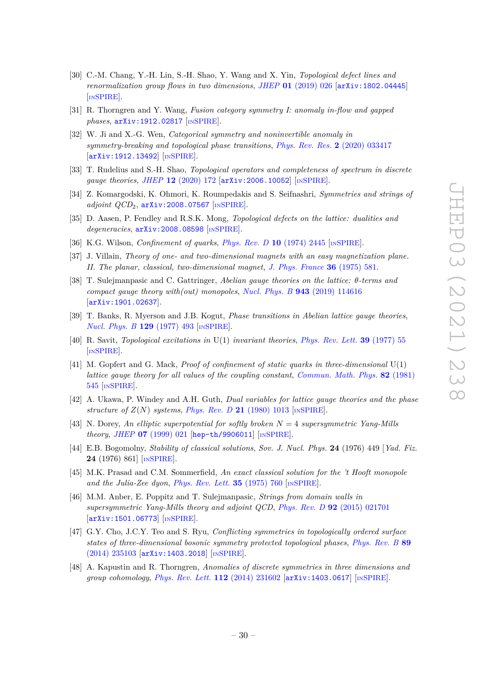- [30] C.-M. Chang, Y.-H. Lin, S.-H. Shao, Y. Wang and X. Yin, *Topological defect lines and renormalization group flows in two dimensions*, *JHEP* **01** [\(2019\) 026](https://doi.org/10.1007/JHEP01(2019)026) [[arXiv:1802.04445](https://arxiv.org/abs/1802.04445)] [IN[SPIRE](https://inspirehep.net/search?p=find+EPRINT%2BarXiv%3A1802.04445)].
- [31] R. Thorngren and Y. Wang, *Fusion category symmetry I: anomaly in-flow and gapped phases*, [arXiv:1912.02817](https://arxiv.org/abs/1912.02817) [IN[SPIRE](https://inspirehep.net/search?p=find+EPRINT%2BarXiv%3A1912.02817)].
- [32] W. Ji and X.-G. Wen, *Categorical symmetry and noninvertible anomaly in symmetry-breaking and topological phase transitions*, *[Phys. Rev. Res.](https://doi.org/10.1103/PhysRevResearch.2.033417)* **2** (2020) 033417 [[arXiv:1912.13492](https://arxiv.org/abs/1912.13492)] [IN[SPIRE](https://inspirehep.net/search?p=find+EPRINT%2BarXiv%3A1912.13492)].
- <span id="page-30-12"></span>[33] T. Rudelius and S.-H. Shao, *Topological operators and completeness of spectrum in discrete gauge theories*, *JHEP* **12** [\(2020\) 172](https://doi.org/10.1007/JHEP12(2020)172) [[arXiv:2006.10052](https://arxiv.org/abs/2006.10052)] [IN[SPIRE](https://inspirehep.net/search?p=find+EPRINT%2BarXiv%3A2006.10052)].
- [34] Z. Komargodski, K. Ohmori, K. Roumpedakis and S. Seifnashri, *Symmetries and strings of adjoint QCD*<sub>2</sub>, [arXiv:2008.07567](https://arxiv.org/abs/2008.07567) [IN[SPIRE](https://inspirehep.net/search?p=find+EPRINT%2BarXiv%3A2008.07567)].
- <span id="page-30-0"></span>[35] D. Aasen, P. Fendley and R.S.K. Mong, *Topological defects on the lattice: dualities and degeneracies*, [arXiv:2008.08598](https://arxiv.org/abs/2008.08598) [IN[SPIRE](https://inspirehep.net/search?p=find+EPRINT%2BarXiv%3A2008.08598)].
- <span id="page-30-1"></span>[36] K.G. Wilson, *Confinement of quarks*, *[Phys. Rev. D](https://doi.org/10.1103/PhysRevD.10.2445)* **10** (1974) 2445 [IN[SPIRE](https://inspirehep.net/search?p=find+J%20%22Phys.Rev.%2CD10%2C2445%22)].
- <span id="page-30-2"></span>[37] J. Villain, *Theory of one- and two-dimensional magnets with an easy magnetization plane. II. The planar, classical, two-dimensional magnet*, *[J. Phys. France](https://doi.org/10.1051/jphys:01975003606058100)* **36** (1975) 581.
- <span id="page-30-3"></span>[38] T. Sulejmanpasic and C. Gattringer, *Abelian gauge theories on the lattice: θ-terms and compact gauge theory with(out) monopoles*, *Nucl. Phys. B* **943** [\(2019\) 114616](https://doi.org/10.1016/j.nuclphysb.2019.114616) [[arXiv:1901.02637](https://arxiv.org/abs/1901.02637)].
- <span id="page-30-4"></span>[39] T. Banks, R. Myerson and J.B. Kogut, *Phase transitions in Abelian lattice gauge theories*, *[Nucl. Phys. B](https://doi.org/10.1016/0550-3213(77)90129-8)* **129** (1977) 493 [IN[SPIRE](https://inspirehep.net/search?p=find+J%20%22Nucl.Phys.%2CB129%2C493%22)].
- <span id="page-30-13"></span>[40] R. Savit, *Topological excitations in* U(1) *invariant theories*, *[Phys. Rev. Lett.](https://doi.org/10.1103/PhysRevLett.39.55)* **39** (1977) 55 [IN[SPIRE](https://inspirehep.net/search?p=find+J%20%22Phys.Rev.Lett.%2C39%2C55%22)].
- <span id="page-30-5"></span>[41] M. Gopfert and G. Mack, *Proof of confinement of static quarks in three-dimensional* U(1) *lattice gauge theory for all values of the coupling constant*, *[Commun. Math. Phys.](https://doi.org/10.1007/BF01961240)* **82** (1981) [545](https://doi.org/10.1007/BF01961240) [IN[SPIRE](https://inspirehep.net/search?p=find+J%20%22Commun.Math.Phys.%2C82%2C545%22)].
- <span id="page-30-6"></span>[42] A. Ukawa, P. Windey and A.H. Guth, *Dual variables for lattice gauge theories and the phase structure of*  $Z(N)$  *systems*, *[Phys. Rev. D](https://doi.org/10.1103/PhysRevD.21.1013)* 21 (1980) 1013 [IN[SPIRE](https://inspirehep.net/search?p=find+J%20%22Phys.Rev.%2CD21%2C1013%22)].
- <span id="page-30-7"></span>[43] N. Dorey, *An elliptic superpotential for softly broken N* = 4 *supersymmetric Yang-Mills theory*, *JHEP* **07** [\(1999\) 021](https://doi.org/10.1088/1126-6708/1999/07/021) [[hep-th/9906011](https://arxiv.org/abs/hep-th/9906011)] [IN[SPIRE](https://inspirehep.net/search?p=find+EPRINT%2Bhep-th%2F9906011)].
- <span id="page-30-8"></span>[44] E.B. Bogomolny, *Stability of classical solutions*, *Sov. J. Nucl. Phys.* **24** (1976) 449 [*Yad. Fiz.* **24** (1976) 861] [IN[SPIRE](https://inspirehep.net/search?p=find+J%20%22Sov.J.Nucl.Phys.%2C24%2C449%22)].
- <span id="page-30-9"></span>[45] M.K. Prasad and C.M. Sommerfield, *An exact classical solution for the 't Hooft monopole and the Julia-Zee dyon*, *[Phys. Rev. Lett.](https://doi.org/10.1103/PhysRevLett.35.760)* **35** (1975) 760 [IN[SPIRE](https://inspirehep.net/search?p=find+J%20%22Phys.Rev.Lett.%2C35%2C760%22)].
- <span id="page-30-10"></span>[46] M.M. Anber, E. Poppitz and T. Sulejmanpasic, *Strings from domain walls in supersymmetric Yang-Mills theory and adjoint QCD*, *Phys. Rev. D* **92** [\(2015\) 021701](https://doi.org/10.1103/PhysRevD.92.021701) [[arXiv:1501.06773](https://arxiv.org/abs/1501.06773)] [IN[SPIRE](https://inspirehep.net/search?p=find+EPRINT%2BarXiv%3A1501.06773)].
- <span id="page-30-11"></span>[47] G.Y. Cho, J.C.Y. Teo and S. Ryu, *Conflicting symmetries in topologically ordered surface states of three-dimensional bosonic symmetry protected topological phases*, *[Phys. Rev. B](https://doi.org/10.1103/PhysRevB.89.235103)* **89** [\(2014\) 235103](https://doi.org/10.1103/PhysRevB.89.235103) [[arXiv:1403.2018](https://arxiv.org/abs/1403.2018)] [IN[SPIRE](https://inspirehep.net/search?p=find+EPRINT%2BarXiv%3A1403.2018)].
- [48] A. Kapustin and R. Thorngren, *Anomalies of discrete symmetries in three dimensions and group cohomology*, *[Phys. Rev. Lett.](https://doi.org/10.1103/PhysRevLett.112.231602)* **112** (2014) 231602 [[arXiv:1403.0617](https://arxiv.org/abs/1403.0617)] [IN[SPIRE](https://inspirehep.net/search?p=find+EPRINT%2BarXiv%3A1403.0617)].